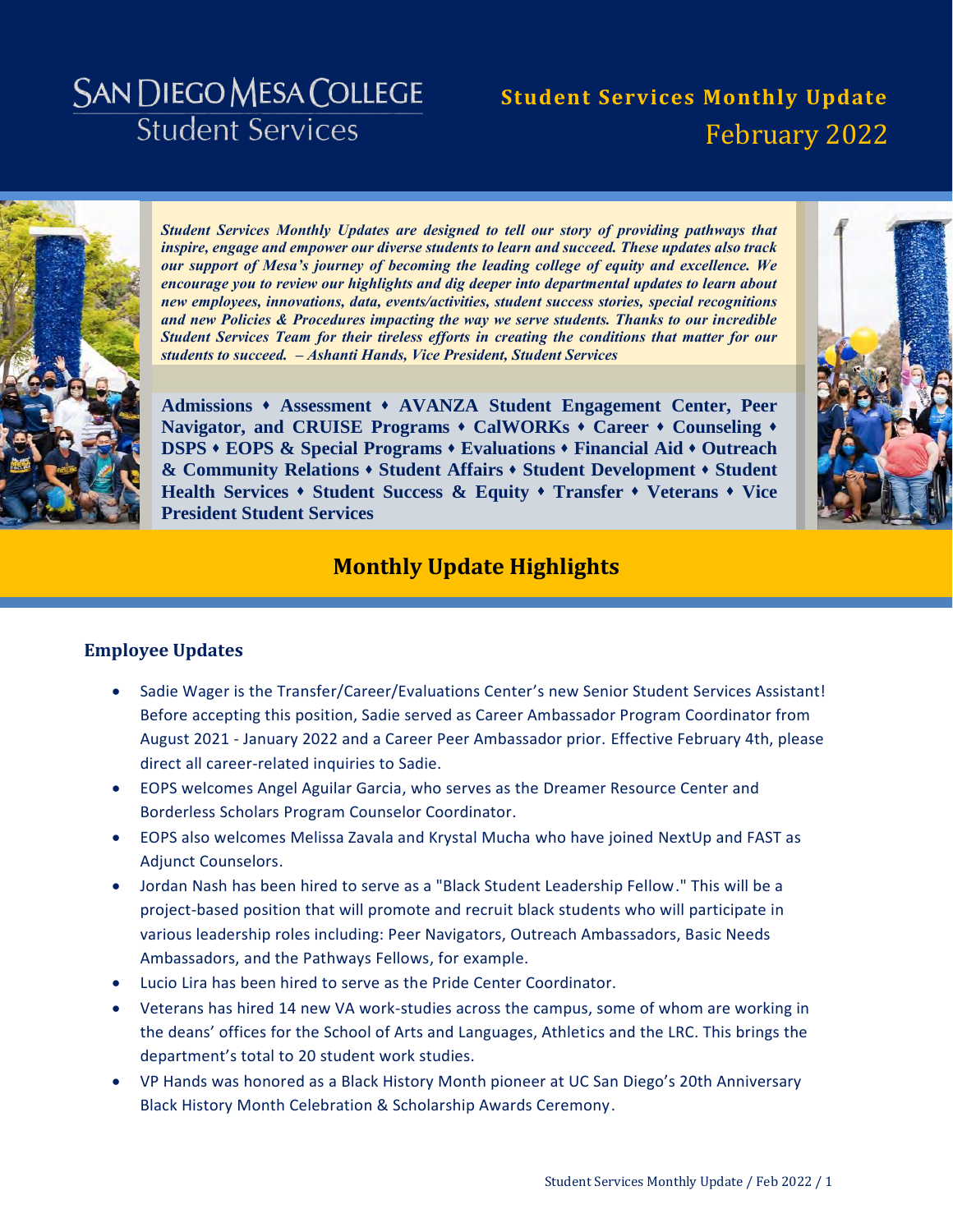# **SAN DIEGO MESA COLLEGE Student Services**

# **Student Services Monthly Update** February 2022



*Student Services Monthly Updates are designed to tell our story of providing pathways that inspire, engage and empower our diverse students to learn and succeed. These updates also track our support of Mesa's journey of becoming the leading college of equity and excellence. We encourage you to review our highlights and dig deeper into departmental updates to learn about new employees, innovations, data, events/activities, student success stories, special recognitions and new Policies & Procedures impacting the way we serve students. Thanks to our incredible Student Services Team for their tireless efforts in creating the conditions that matter for our students to succeed. – Ashanti Hands, Vice President, Student Services* 

**[Admissions](#page-3-0) [Assessment](#page-5-0) [AVANZA Student Engagement Center,](#page-6-0) [Peer](#page-6-1)  [Navigator, and CRUISE Programs](#page-6-1) [CalWORKs](#page-8-0) [Career](#page-10-0) [Counseling](#page-12-0) [DSPS](#page-13-0) [EOPS & Special Programs](#page-14-0) [Evaluations](#page-16-0) [Financial Aid](#page-18-0) [Outreach](#page-19-0)  [& Community Relations](#page-19-0) [Student Affairs](#page-20-0) [Student Development](#page-22-0) [Student](#page-23-0)  [Health Services](#page-23-0) [Student Success & Equity](#page-25-0) [Transfer](#page-27-0) [Veterans](#page-28-0) [Vice](#page-29-0)  [President Student Services](#page-29-0)**



# **Monthly Update Highlights**

#### **Employee Updates**

- Sadie Wager is the Transfer/Career/Evaluations Center's new Senior Student Services Assistant! Before accepting this position, Sadie served as Career Ambassador Program Coordinator from August 2021 - January 2022 and a Career Peer Ambassador prior. Effective February 4th, please direct all career-related inquiries to Sadie.
- EOPS welcomes Angel Aguilar Garcia, who serves as the Dreamer Resource Center and Borderless Scholars Program Counselor Coordinator.
- EOPS also welcomes Melissa Zavala and Krystal Mucha who have joined NextUp and FAST as Adjunct Counselors.
- Jordan Nash has been hired to serve as a "Black Student Leadership Fellow." This will be a project-based position that will promote and recruit black students who will participate in various leadership roles including: Peer Navigators, Outreach Ambassadors, Basic Needs Ambassadors, and the Pathways Fellows, for example.
- Lucio Lira has been hired to serve as the Pride Center Coordinator.
- Veterans has hired 14 new VA work-studies across the campus, some of whom are working in the deans' offices for the School of Arts and Languages, Athletics and the LRC. This brings the department's total to 20 student work studies.
- VP Hands was honored as a Black History Month pioneer at UC San Diego's 20th Anniversary Black History Month Celebration & Scholarship Awards Ceremony.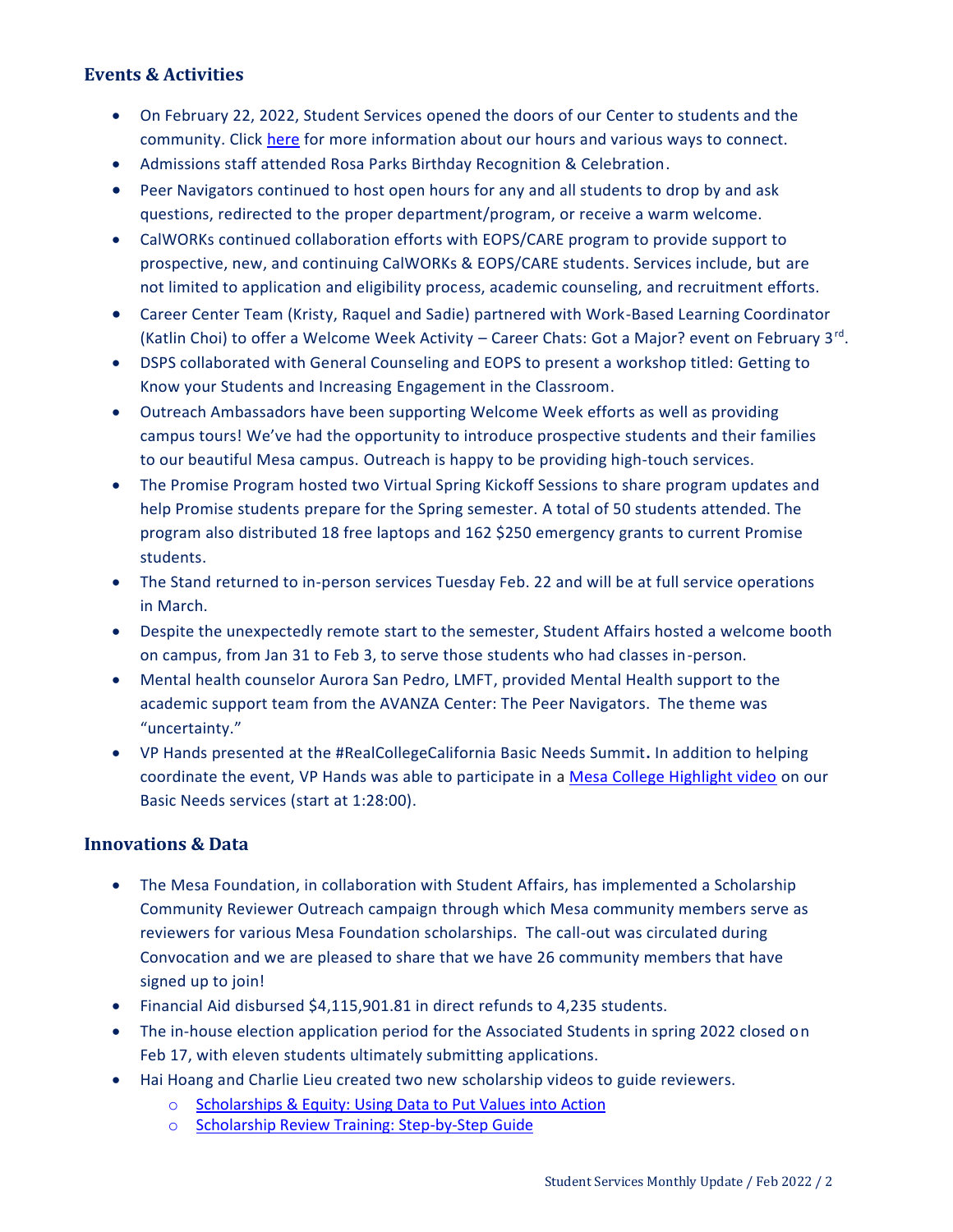### **Events & Activities**

- On February 22, 2022, Student Services opened the doors of our Center to students and the community. Click [here](https://www.sdmesa.edu/student-services/SP22%20Services%20Flyer-2.pdf) for more information about our hours and various ways to connect.
- Admissions staff attended Rosa Parks Birthday Recognition & Celebration.
- Peer Navigators continued to host open hours for any and all students to drop by and ask questions, redirected to the proper department/program, or receive a warm welcome.
- CalWORKs continued collaboration efforts with EOPS/CARE program to provide support to prospective, new, and continuing CalWORKs & EOPS/CARE students. Services include, but are not limited to application and eligibility process, academic counseling, and recruitment efforts.
- Career Center Team (Kristy, Raquel and Sadie) partnered with Work-Based Learning Coordinator (Katlin Choi) to offer a Welcome Week Activity - Career Chats: Got a Major? event on February 3<sup>rd</sup>.
- DSPS collaborated with General Counseling and EOPS to present a workshop titled: Getting to Know your Students and Increasing Engagement in the Classroom.
- Outreach Ambassadors have been supporting Welcome Week efforts as well as providing campus tours! We've had the opportunity to introduce prospective students and their families to our beautiful Mesa campus. Outreach is happy to be providing high-touch services.
- The Promise Program hosted two Virtual Spring Kickoff Sessions to share program updates and help Promise students prepare for the Spring semester. A total of 50 students attended. The program also distributed 18 free laptops and 162 \$250 emergency grants to current Promise students.
- The Stand returned to in-person services Tuesday Feb. 22 and will be at full service operations in March.
- Despite the unexpectedly remote start to the semester, Student Affairs hosted a welcome booth on campus, from Jan 31 to Feb 3, to serve those students who had classes in-person.
- Mental health counselor Aurora San Pedro, LMFT, provided Mental Health support to the academic support team from the AVANZA Center: The Peer Navigators. The theme was "uncertainty."
- VP Hands presented at the #RealCollegeCalifornia Basic Needs Summit**.** In addition to helping coordinate the event, VP Hands was able to participate in a [Mesa College Highlight video](https://us02web.zoom.us/rec/play/RfsoIIR1bxcxlR0pb7UByvI4JN_MWK9lrR63HGld09BrCQzkwcxmHrTLd-8SPtCTOkiToPcWqv73jCfe.ULfMQZYa5azFeuOS?continueMode=true&_x_zm_rtaid=LqPp__74SPWZ1lmTMxwqrQ.1644441173974.10032de380ee5799c1dfa4257ac14336&_x_zm_rhtaid=576) on our Basic Needs services (start at 1:28:00).

### **Innovations & Data**

- The Mesa Foundation, in collaboration with Student Affairs, has implemented a Scholarship Community Reviewer Outreach campaign through which Mesa community members serve as reviewers for various Mesa Foundation scholarships. The call-out was circulated during Convocation and we are pleased to share that we have 26 community members that have signed up to join!
- Financial Aid disbursed \$4,115,901.81 in direct refunds to 4,235 students.
- The in-house election application period for the Associated Students in spring 2022 closed on Feb 17, with eleven students ultimately submitting applications.
- Hai Hoang and Charlie Lieu created two new scholarship videos to guide reviewers.
	- o [Scholarships & Equity: Using Data to Put Values into Action](https://www.youtube.com/watch?v=zPluheK30NU)
	- o [Scholarship Review Training: Step-by-Step Guide](https://www.youtube.com/watch?v=7WIxFhnta6g)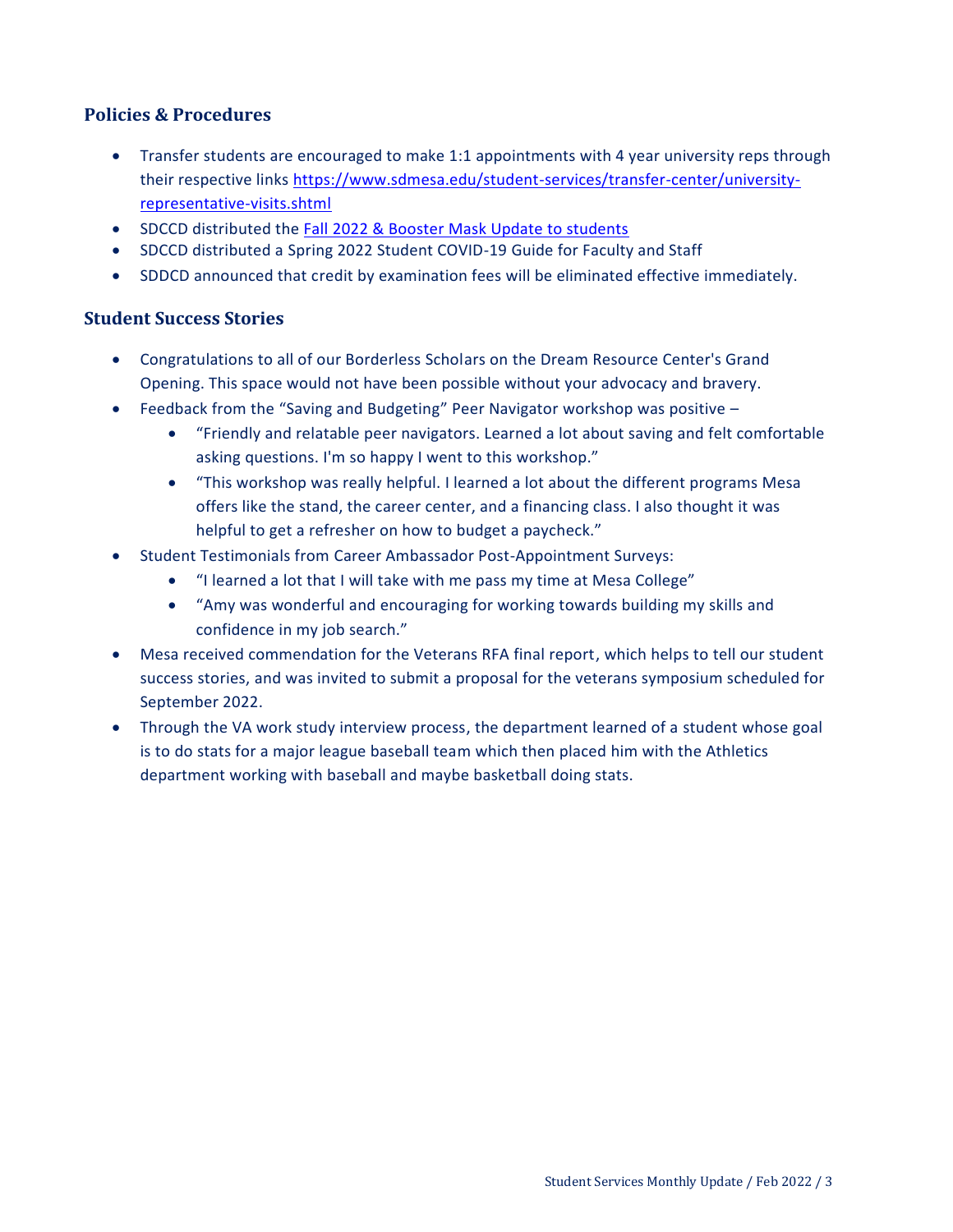### **Policies & Procedures**

- Transfer students are encouraged to make 1:1 appointments with 4 year university reps through their respective links [https://www.sdmesa.edu/student-services/transfer-center/university](https://www.sdmesa.edu/student-services/transfer-center/university-representative-visits.shtml)[representative-visits.shtml](https://www.sdmesa.edu/student-services/transfer-center/university-representative-visits.shtml)
- SDCCD distributed the [Fall 2022 & Booster Mask Update to students](https://www.sdccd.edu/docs/StudentServices/covid19/SDCCD%20COVID%20Booster%20Update.pdf)
- SDCCD distributed a Spring 2022 Student COVID-19 Guide for Faculty and Staff
- SDDCD announced that credit by examination fees will be eliminated effective immediately.

#### **Student Success Stories**

- Congratulations to all of our Borderless Scholars on the Dream Resource Center's Grand Opening. This space would not have been possible without your advocacy and bravery.
- Feedback from the "Saving and Budgeting" Peer Navigator workshop was positive
	- "Friendly and relatable peer navigators. Learned a lot about saving and felt comfortable asking questions. I'm so happy I went to this workshop."
	- "This workshop was really helpful. I learned a lot about the different programs Mesa offers like the stand, the career center, and a financing class. I also thought it was helpful to get a refresher on how to budget a paycheck."
- Student Testimonials from Career Ambassador Post-Appointment Surveys:
	- "I learned a lot that I will take with me pass my time at Mesa College"
	- "Amy was wonderful and encouraging for working towards building my skills and confidence in my job search."
- Mesa received commendation for the Veterans RFA final report, which helps to tell our student success stories, and was invited to submit a proposal for the veterans symposium scheduled for September 2022.
- Through the VA work study interview process, the department learned of a student whose goal is to do stats for a major league baseball team which then placed him with the Athletics department working with baseball and maybe basketball doing stats.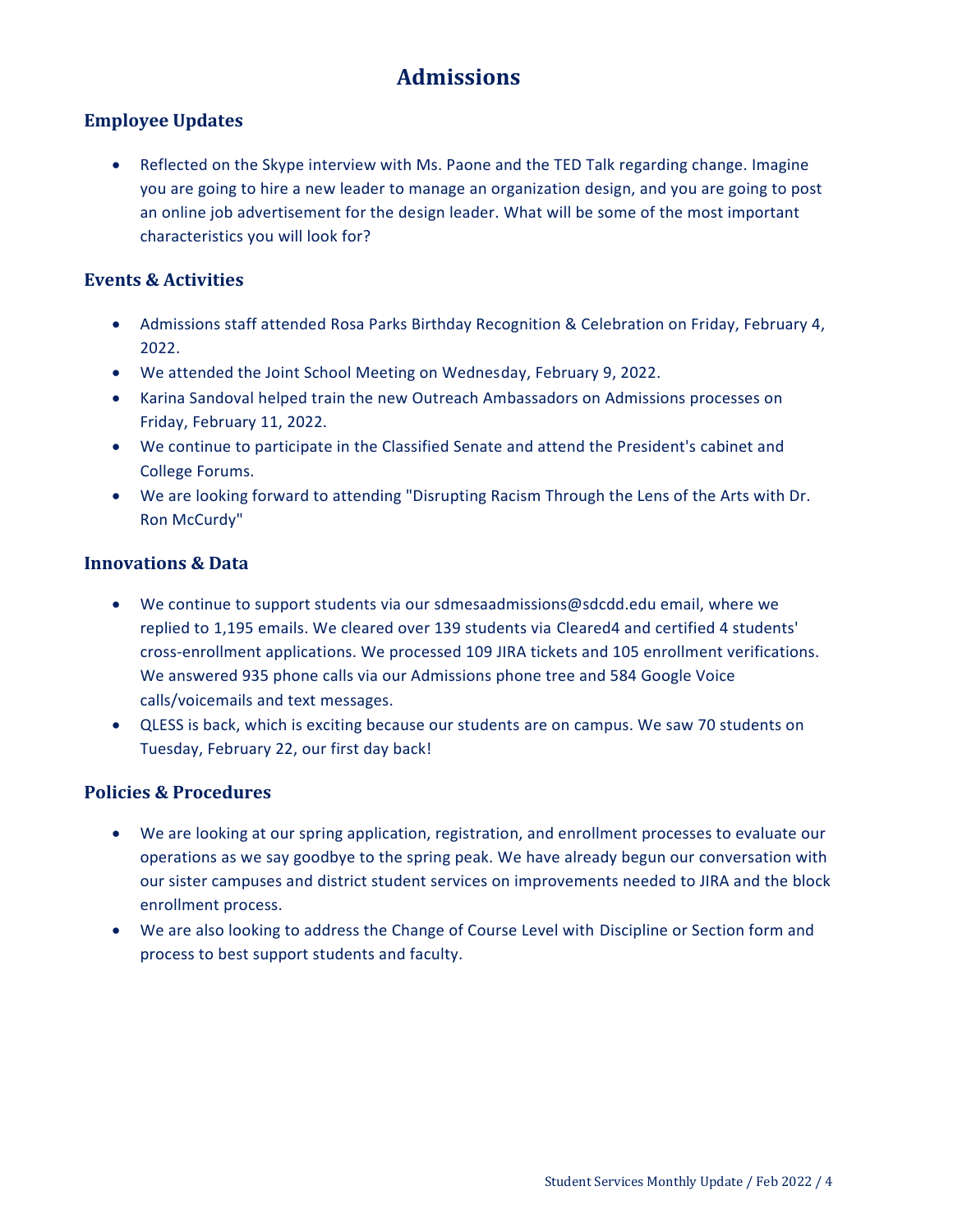# **Admissions**

### <span id="page-3-0"></span>**Employee Updates**

 Reflected on the Skype interview with Ms. Paone and the TED Talk regarding change. Imagine you are going to hire a new leader to manage an organization design, and you are going to post an online job advertisement for the design leader. What will be some of the most important characteristics you will look for?

### **Events & Activities**

- Admissions staff attended Rosa Parks Birthday Recognition & Celebration on Friday, February 4, 2022.
- We attended the Joint School Meeting on Wednesday, February 9, 2022.
- Karina Sandoval helped train the new Outreach Ambassadors on Admissions processes on Friday, February 11, 2022.
- We continue to participate in the Classified Senate and attend the President's cabinet and College Forums.
- We are looking forward to attending "Disrupting Racism Through the Lens of the Arts with Dr. Ron McCurdy"

#### **Innovations & Data**

- We continue to support students via our sdmesaadmissions@sdcdd.edu email, where we replied to 1,195 emails. We cleared over 139 students via Cleared4 and certified 4 students' cross-enrollment applications. We processed 109 JIRA tickets and 105 enrollment verifications. We answered 935 phone calls via our Admissions phone tree and 584 Google Voice calls/voicemails and text messages.
- QLESS is back, which is exciting because our students are on campus. We saw 70 students on Tuesday, February 22, our first day back!

#### **Policies & Procedures**

- We are looking at our spring application, registration, and enrollment processes to evaluate our operations as we say goodbye to the spring peak. We have already begun our conversation with our sister campuses and district student services on improvements needed to JIRA and the block enrollment process.
- We are also looking to address the Change of Course Level with Discipline or Section form and process to best support students and faculty.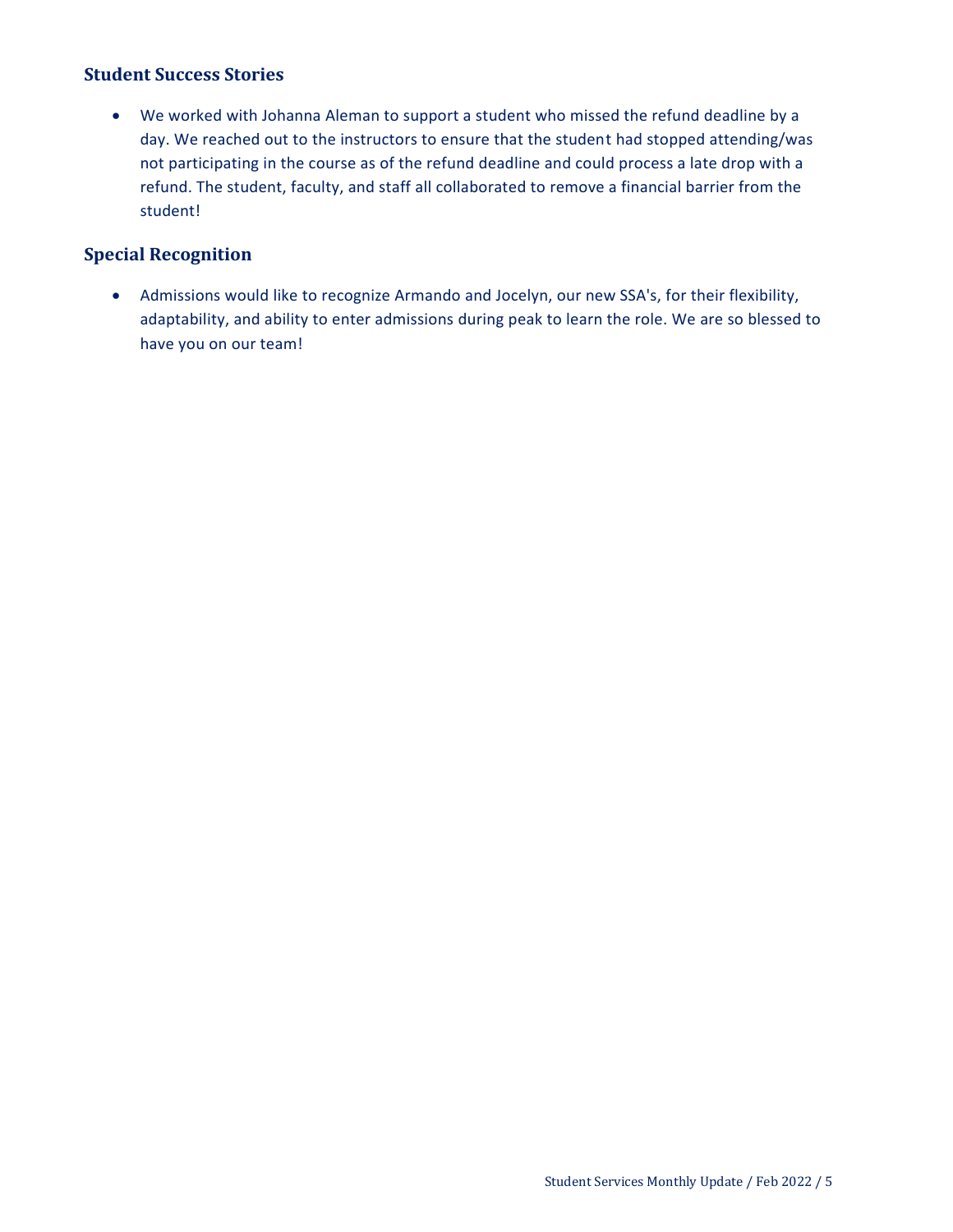### **Student Success Stories**

 We worked with Johanna Aleman to support a student who missed the refund deadline by a day. We reached out to the instructors to ensure that the student had stopped attending/was not participating in the course as of the refund deadline and could process a late drop with a refund. The student, faculty, and staff all collaborated to remove a financial barrier from the student!

#### **Special Recognition**

 Admissions would like to recognize Armando and Jocelyn, our new SSA's, for their flexibility, adaptability, and ability to enter admissions during peak to learn the role. We are so blessed to have you on our team!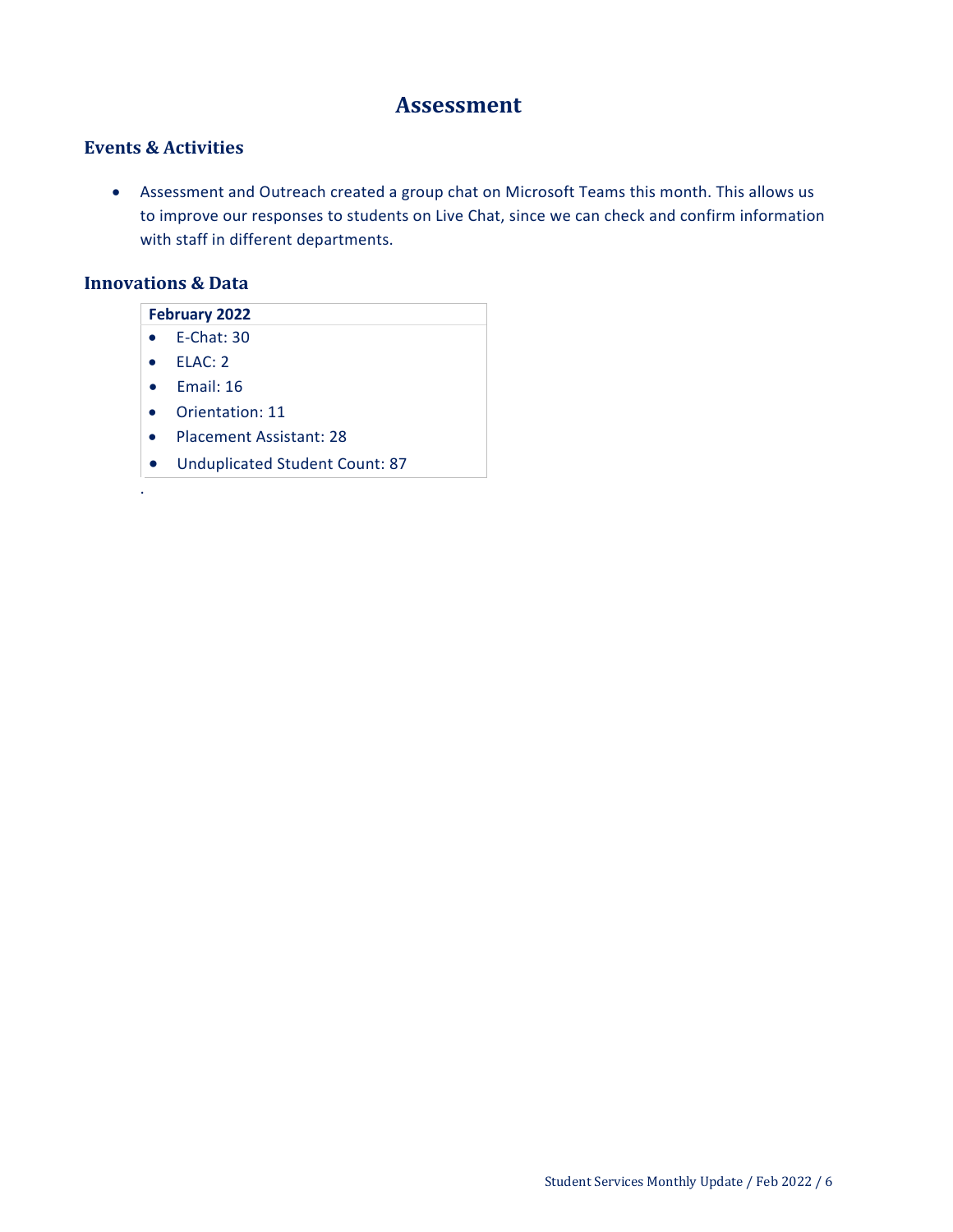# **Assessment**

## <span id="page-5-0"></span>**Events & Activities**

 Assessment and Outreach created a group chat on Microsoft Teams this month. This allows us to improve our responses to students on Live Chat, since we can check and confirm information with staff in different departments.

#### **Innovations & Data**

| <b>February 2022</b> |                                       |  |
|----------------------|---------------------------------------|--|
|                      | $E$ -Chat: 30                         |  |
|                      | FLAC: 2                               |  |
|                      | Fmail: 16                             |  |
|                      | Orientation: 11                       |  |
|                      | <b>Placement Assistant: 28</b>        |  |
|                      | <b>Unduplicated Student Count: 87</b> |  |
| ٠                    |                                       |  |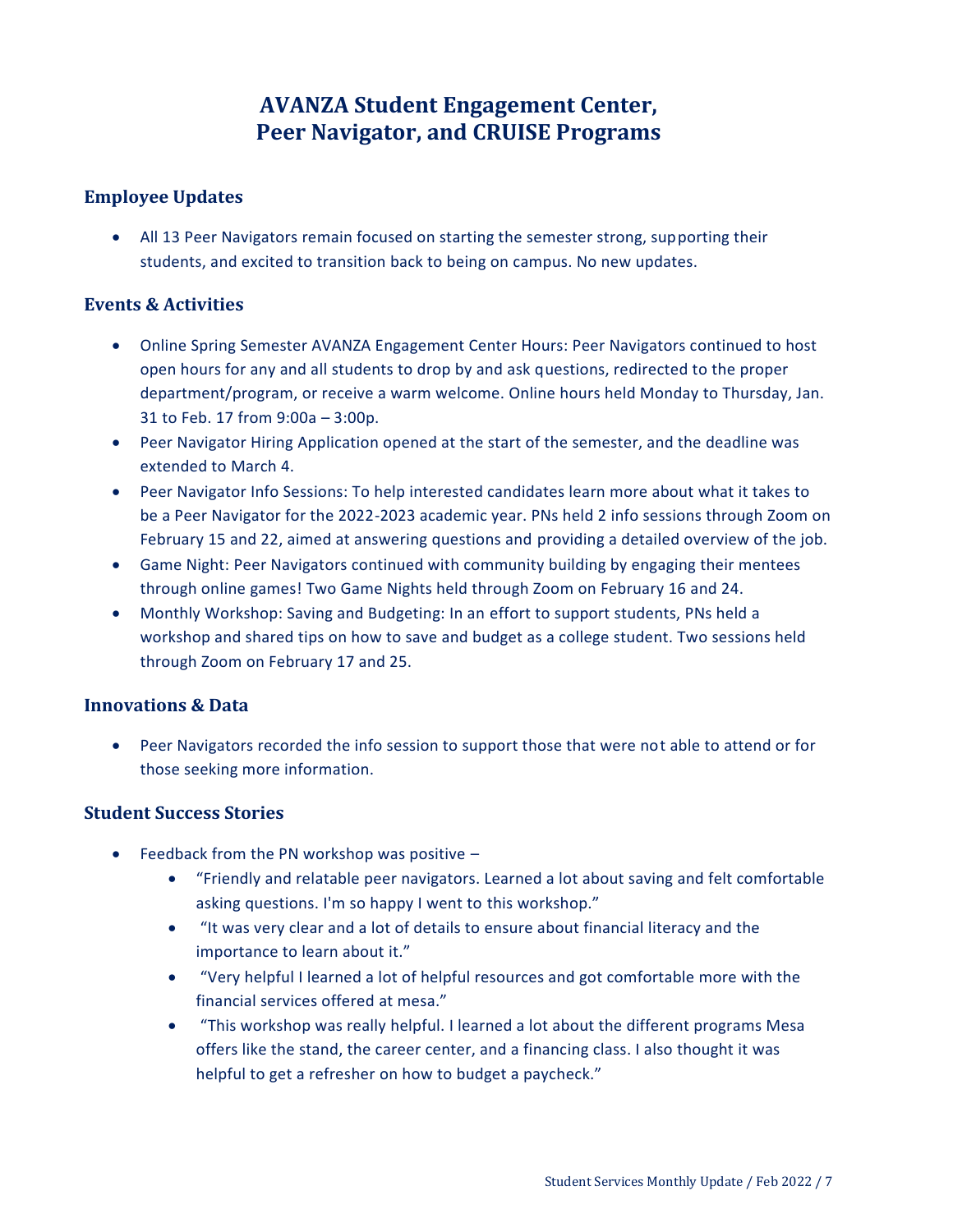# **AVANZA Student Engagement Center, Peer Navigator, and CRUISE Programs**

### <span id="page-6-1"></span><span id="page-6-0"></span>**Employee Updates**

 All 13 Peer Navigators remain focused on starting the semester strong, supporting their students, and excited to transition back to being on campus. No new updates.

### **Events & Activities**

- Online Spring Semester AVANZA Engagement Center Hours: Peer Navigators continued to host open hours for any and all students to drop by and ask questions, redirected to the proper department/program, or receive a warm welcome. Online hours held Monday to Thursday, Jan. 31 to Feb. 17 from 9:00a – 3:00p.
- Peer Navigator Hiring Application opened at the start of the semester, and the deadline was extended to March 4.
- Peer Navigator Info Sessions: To help interested candidates learn more about what it takes to be a Peer Navigator for the 2022-2023 academic year. PNs held 2 info sessions through Zoom on February 15 and 22, aimed at answering questions and providing a detailed overview of the job.
- Game Night: Peer Navigators continued with community building by engaging their mentees through online games! Two Game Nights held through Zoom on February 16 and 24.
- Monthly Workshop: Saving and Budgeting: In an effort to support students, PNs held a workshop and shared tips on how to save and budget as a college student. Two sessions held through Zoom on February 17 and 25.

### **Innovations & Data**

 Peer Navigators recorded the info session to support those that were not able to attend or for those seeking more information.

## **Student Success Stories**

- Feedback from the PN workshop was positive -
	- "Friendly and relatable peer navigators. Learned a lot about saving and felt comfortable asking questions. I'm so happy I went to this workshop."
	- "It was very clear and a lot of details to ensure about financial literacy and the importance to learn about it."
	- "Very helpful I learned a lot of helpful resources and got comfortable more with the financial services offered at mesa."
	- "This workshop was really helpful. I learned a lot about the different programs Mesa offers like the stand, the career center, and a financing class. I also thought it was helpful to get a refresher on how to budget a paycheck."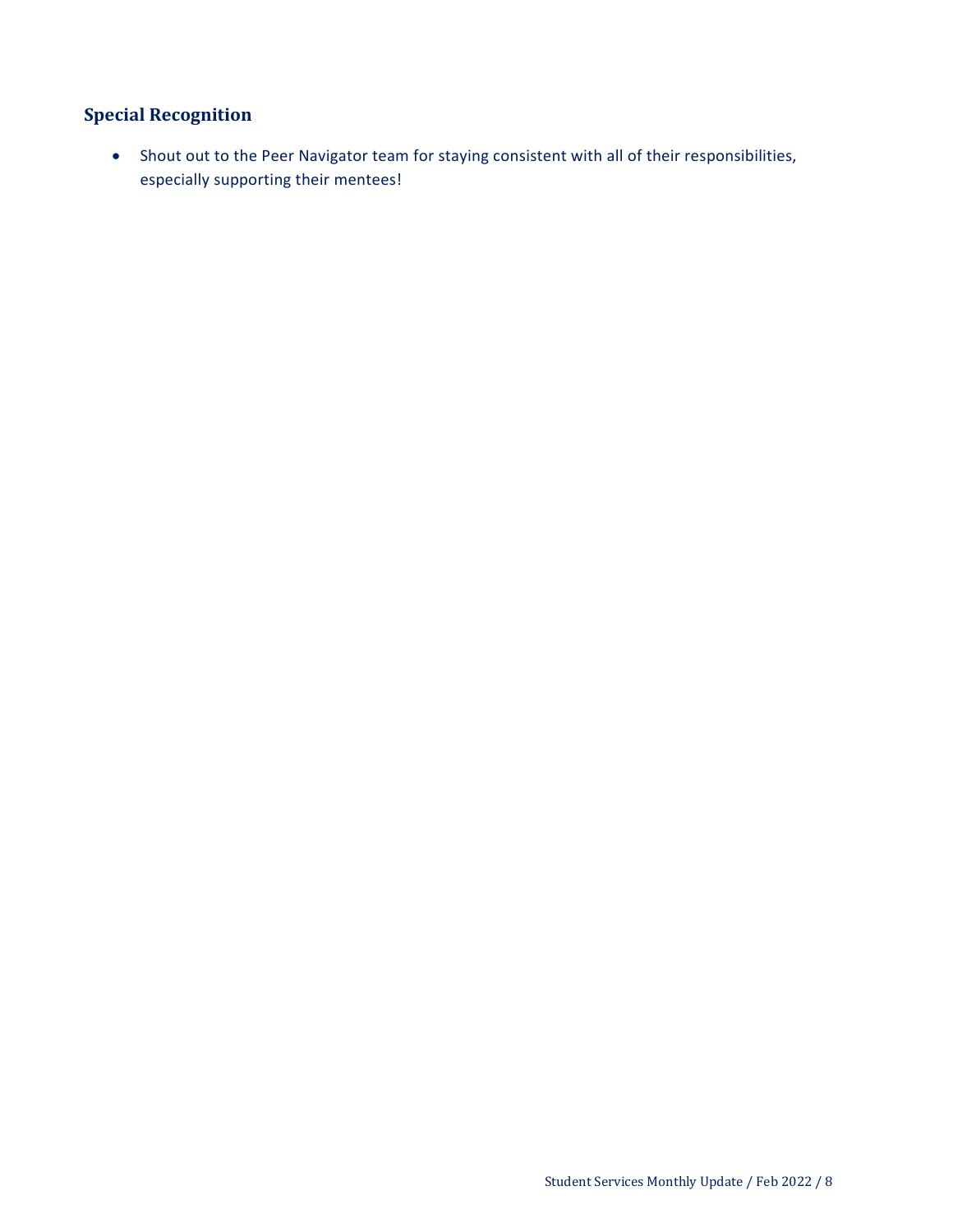# **Special Recognition**

 Shout out to the Peer Navigator team for staying consistent with all of their responsibilities, especially supporting their mentees!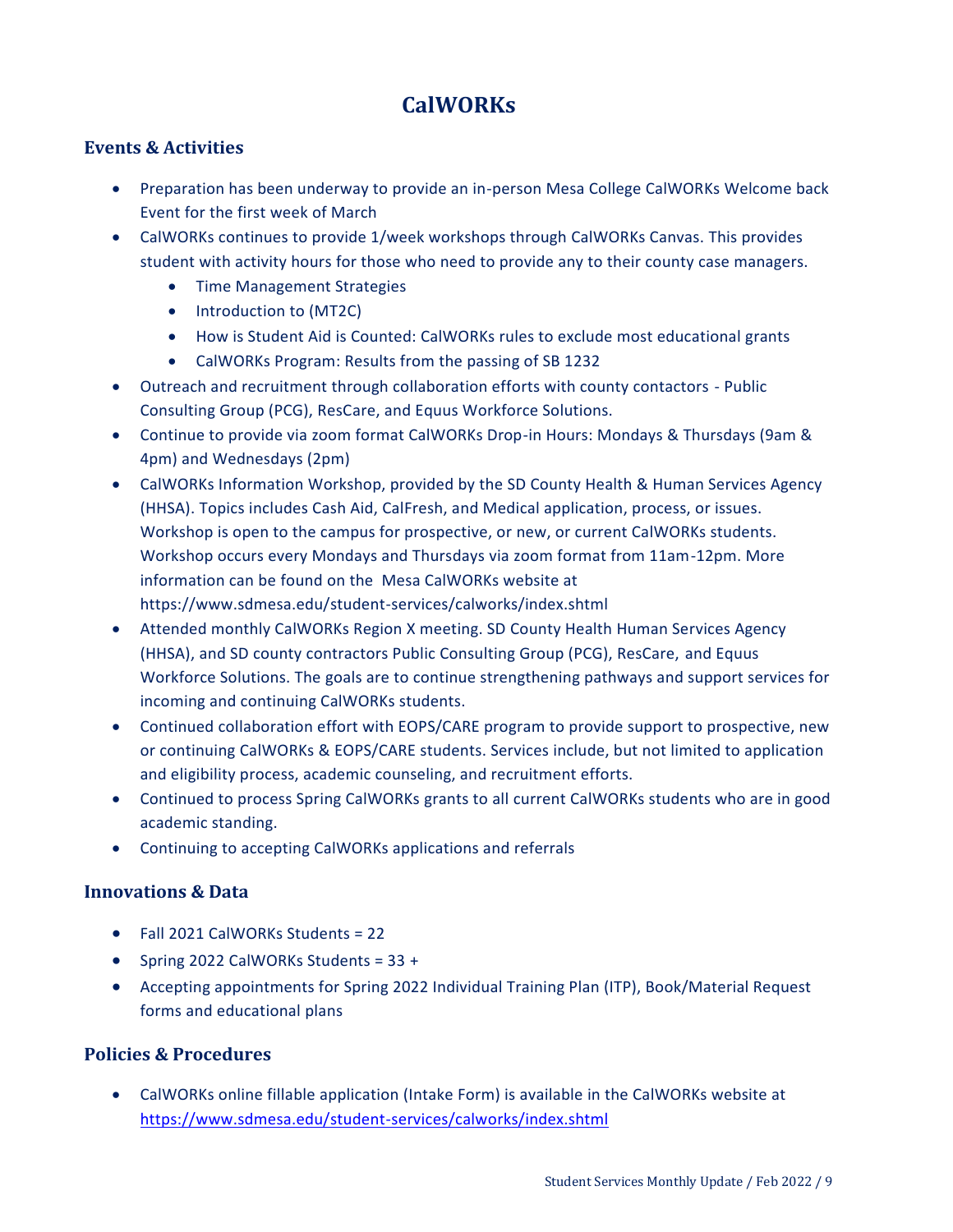# **CalWORKs**

#### <span id="page-8-0"></span>**Events & Activities**

- Preparation has been underway to provide an in-person Mesa College CalWORKs Welcome back Event for the first week of March
- CalWORKs continues to provide 1/week workshops through CalWORKs Canvas. This provides student with activity hours for those who need to provide any to their county case managers.
	- **Time Management Strategies**
	- Introduction to (MT2C)
	- How is Student Aid is Counted: CalWORKs rules to exclude most educational grants
	- CalWORKs Program: Results from the passing of SB 1232
- Outreach and recruitment through collaboration efforts with county contactors Public Consulting Group (PCG), ResCare, and Equus Workforce Solutions.
- Continue to provide via zoom format CalWORKs Drop-in Hours: Mondays & Thursdays (9am & 4pm) and Wednesdays (2pm)
- CalWORKs Information Workshop, provided by the SD County Health & Human Services Agency (HHSA). Topics includes Cash Aid, CalFresh, and Medical application, process, or issues. Workshop is open to the campus for prospective, or new, or current CalWORKs students. Workshop occurs every Mondays and Thursdays via zoom format from 11am-12pm. More information can be found on the Mesa CalWORKs website at https://www.sdmesa.edu/student-services/calworks/index.shtml
- Attended monthly CalWORKs Region X meeting. SD County Health Human Services Agency (HHSA), and SD county contractors Public Consulting Group (PCG), ResCare, and Equus Workforce Solutions. The goals are to continue strengthening pathways and support services for incoming and continuing CalWORKs students.
- Continued collaboration effort with EOPS/CARE program to provide support to prospective, new or continuing CalWORKs & EOPS/CARE students. Services include, but not limited to application and eligibility process, academic counseling, and recruitment efforts.
- Continued to process Spring CalWORKs grants to all current CalWORKs students who are in good academic standing.
- Continuing to accepting CalWORKs applications and referrals

#### **Innovations & Data**

- Fall 2021 CalWORKs Students = 22
- Spring 2022 CalWORKs Students =  $33 +$
- Accepting appointments for Spring 2022 Individual Training Plan (ITP), Book/Material Request forms and educational plans

### **Policies & Procedures**

 CalWORKs online fillable application (Intake Form) is available in the CalWORKs website at <https://www.sdmesa.edu/student-services/calworks/index.shtml>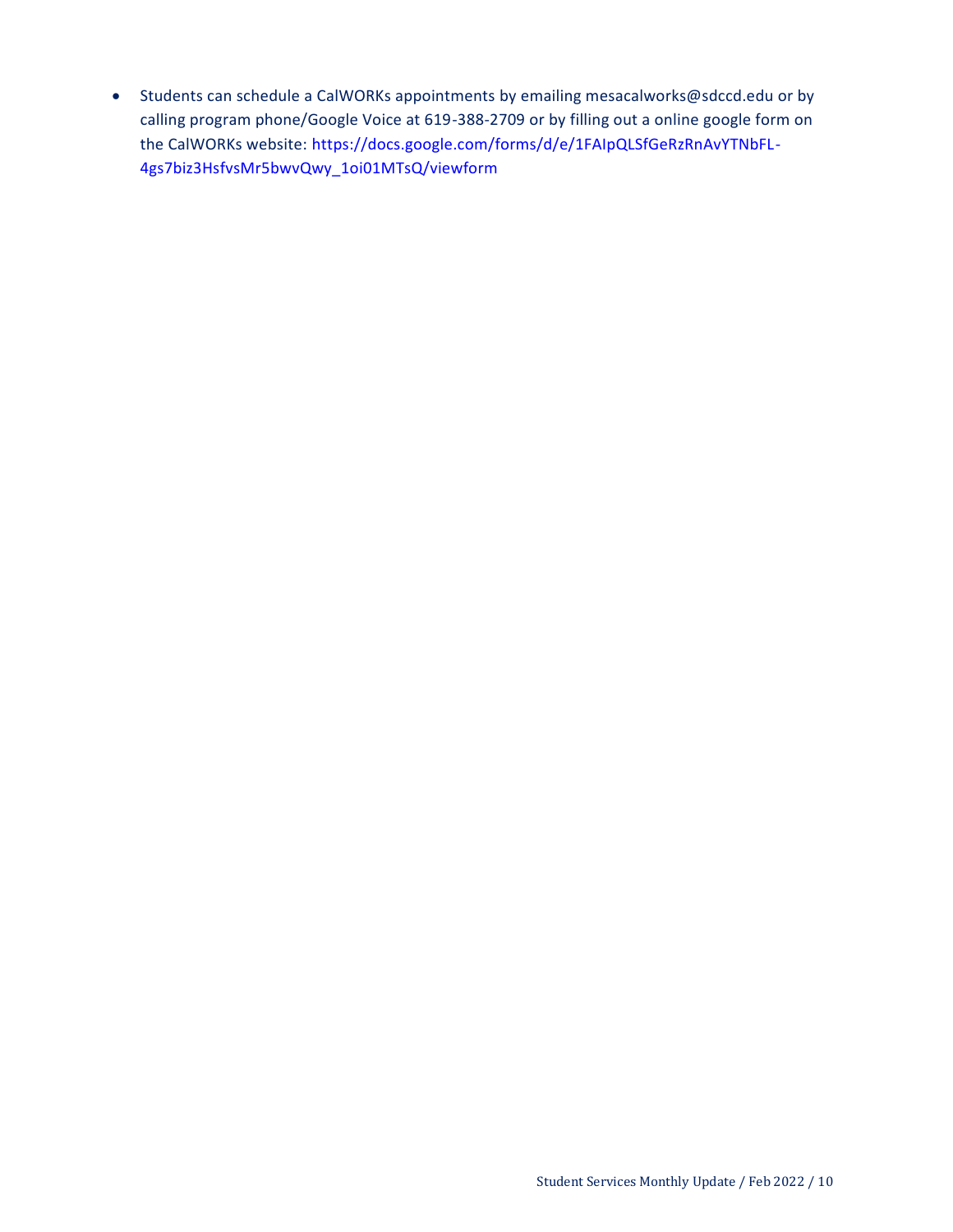Students can schedule a CalWORKs appointments by emailing mesacalworks@sdccd.edu or by calling program phone/Google Voice at 619-388-2709 or by filling out a online google form on the CalWORKs website: [https://docs.google.com/forms/d/e/1FAIpQLSfGeRzRnAvYTNbFL-](https://docs.google.com/forms/d/e/1FAIpQLSfGeRzRnAvYTNbFL-4gs7biz3HsfvsMr5bwvQwy_1oi01MTsQ/viewform)[4gs7biz3HsfvsMr5bwvQwy\\_1oi01MTsQ/viewform](https://docs.google.com/forms/d/e/1FAIpQLSfGeRzRnAvYTNbFL-4gs7biz3HsfvsMr5bwvQwy_1oi01MTsQ/viewform)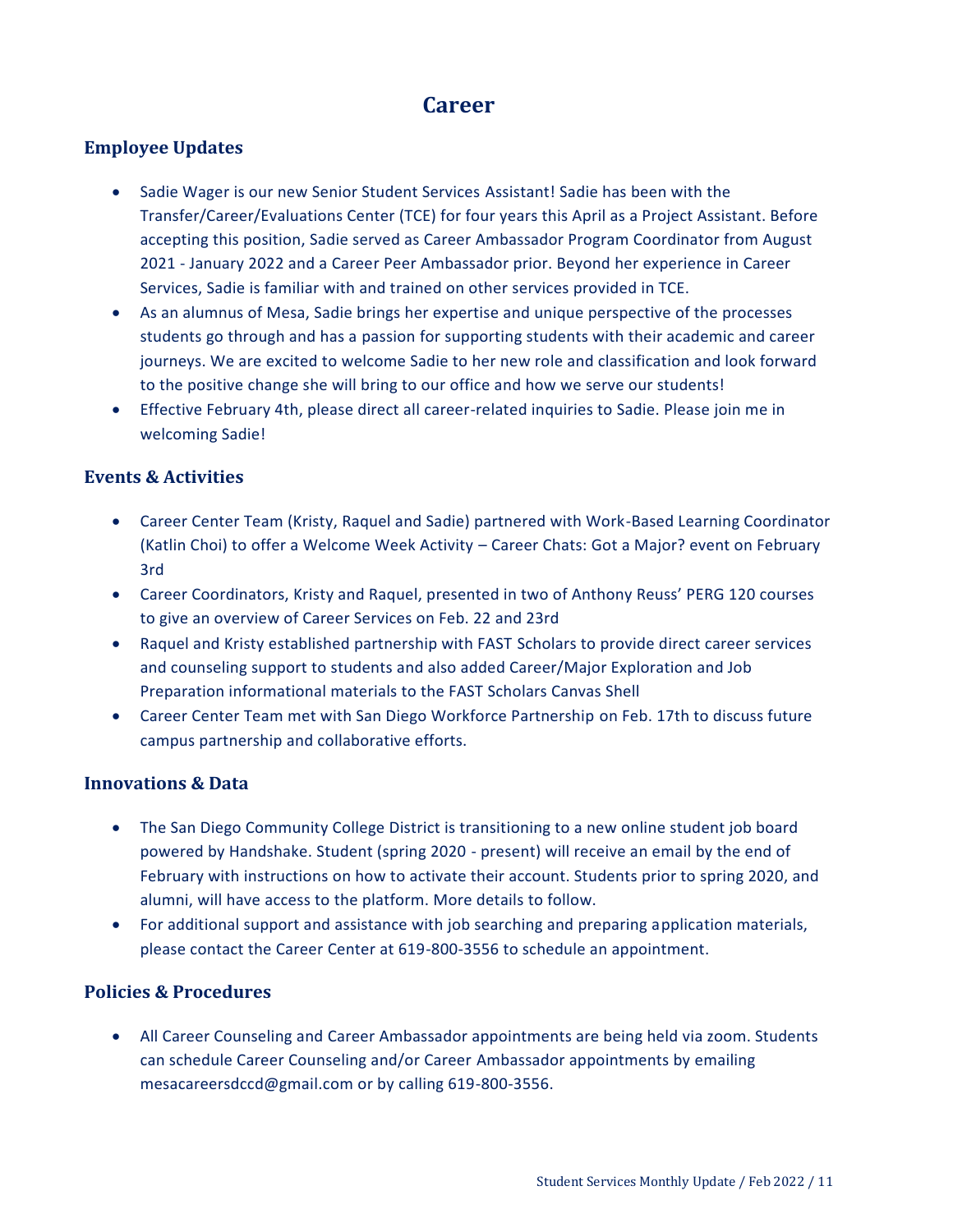# **Career**

### <span id="page-10-0"></span>**Employee Updates**

- Sadie Wager is our new Senior Student Services Assistant! Sadie has been with the Transfer/Career/Evaluations Center (TCE) for four years this April as a Project Assistant. Before accepting this position, Sadie served as Career Ambassador Program Coordinator from August 2021 - January 2022 and a Career Peer Ambassador prior. Beyond her experience in Career Services, Sadie is familiar with and trained on other services provided in TCE.
- As an alumnus of Mesa, Sadie brings her expertise and unique perspective of the processes students go through and has a passion for supporting students with their academic and career journeys. We are excited to welcome Sadie to her new role and classification and look forward to the positive change she will bring to our office and how we serve our students!
- Effective February 4th, please direct all career-related inquiries to Sadie. Please join me in welcoming Sadie!

#### **Events & Activities**

- Career Center Team (Kristy, Raquel and Sadie) partnered with Work-Based Learning Coordinator (Katlin Choi) to offer a Welcome Week Activity – Career Chats: Got a Major? event on February 3rd
- Career Coordinators, Kristy and Raquel, presented in two of Anthony Reuss' PERG 120 courses to give an overview of Career Services on Feb. 22 and 23rd
- Raquel and Kristy established partnership with FAST Scholars to provide direct career services and counseling support to students and also added Career/Major Exploration and Job Preparation informational materials to the FAST Scholars Canvas Shell
- Career Center Team met with San Diego Workforce Partnership on Feb. 17th to discuss future campus partnership and collaborative efforts.

#### **Innovations & Data**

- The San Diego Community College District is transitioning to a new online student job board powered by Handshake. Student (spring 2020 - present) will receive an email by the end of February with instructions on how to activate their account. Students prior to spring 2020, and alumni, will have access to the platform. More details to follow.
- For additional support and assistance with job searching and preparing application materials, please contact the Career Center at 619-800-3556 to schedule an appointment.

### **Policies & Procedures**

 All Career Counseling and Career Ambassador appointments are being held via zoom. Students can schedule Career Counseling and/or Career Ambassador appointments by emailing mesacareersdccd@gmail.com or by calling 619-800-3556.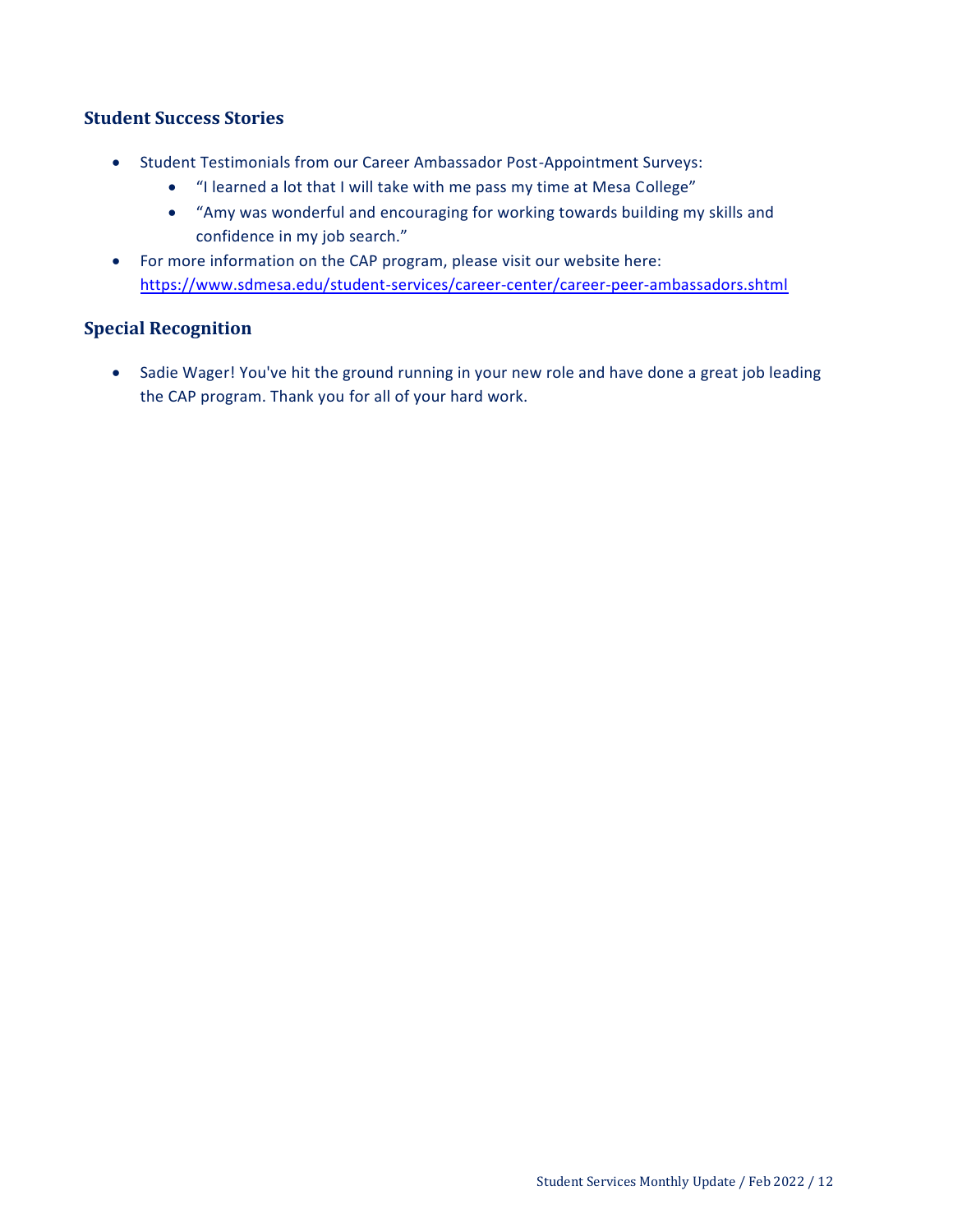#### **Student Success Stories**

- Student Testimonials from our Career Ambassador Post-Appointment Surveys:
	- "I learned a lot that I will take with me pass my time at Mesa College"
	- "Amy was wonderful and encouraging for working towards building my skills and confidence in my job search."
- For more information on the CAP program, please visit our website here: <https://www.sdmesa.edu/student-services/career-center/career-peer-ambassadors.shtml>

### **Special Recognition**

• Sadie Wager! You've hit the ground running in your new role and have done a great job leading the CAP program. Thank you for all of your hard work.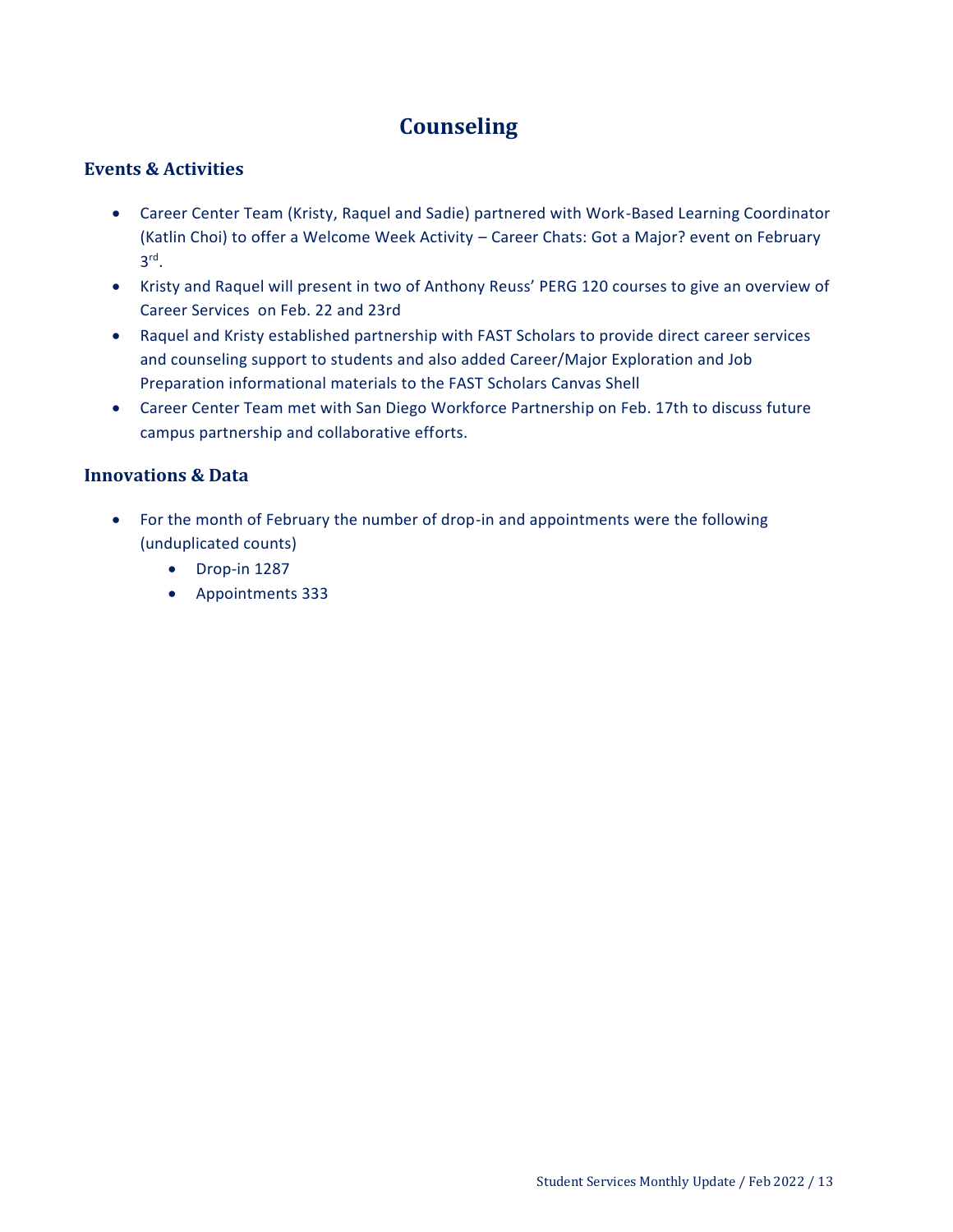# **Counseling**

#### <span id="page-12-0"></span>**Events & Activities**

- Career Center Team (Kristy, Raquel and Sadie) partnered with Work-Based Learning Coordinator (Katlin Choi) to offer a Welcome Week Activity – Career Chats: Got a Major? event on February 3 rd .
- Kristy and Raquel will present in two of Anthony Reuss' PERG 120 courses to give an overview of Career Services on Feb. 22 and 23rd
- Raquel and Kristy established partnership with FAST Scholars to provide direct career services and counseling support to students and also added Career/Major Exploration and Job Preparation informational materials to the FAST Scholars Canvas Shell
- Career Center Team met with San Diego Workforce Partnership on Feb. 17th to discuss future campus partnership and collaborative efforts.

#### **Innovations & Data**

- For the month of February the number of drop-in and appointments were the following (unduplicated counts)
	- Drop-in 1287
	- Appointments 333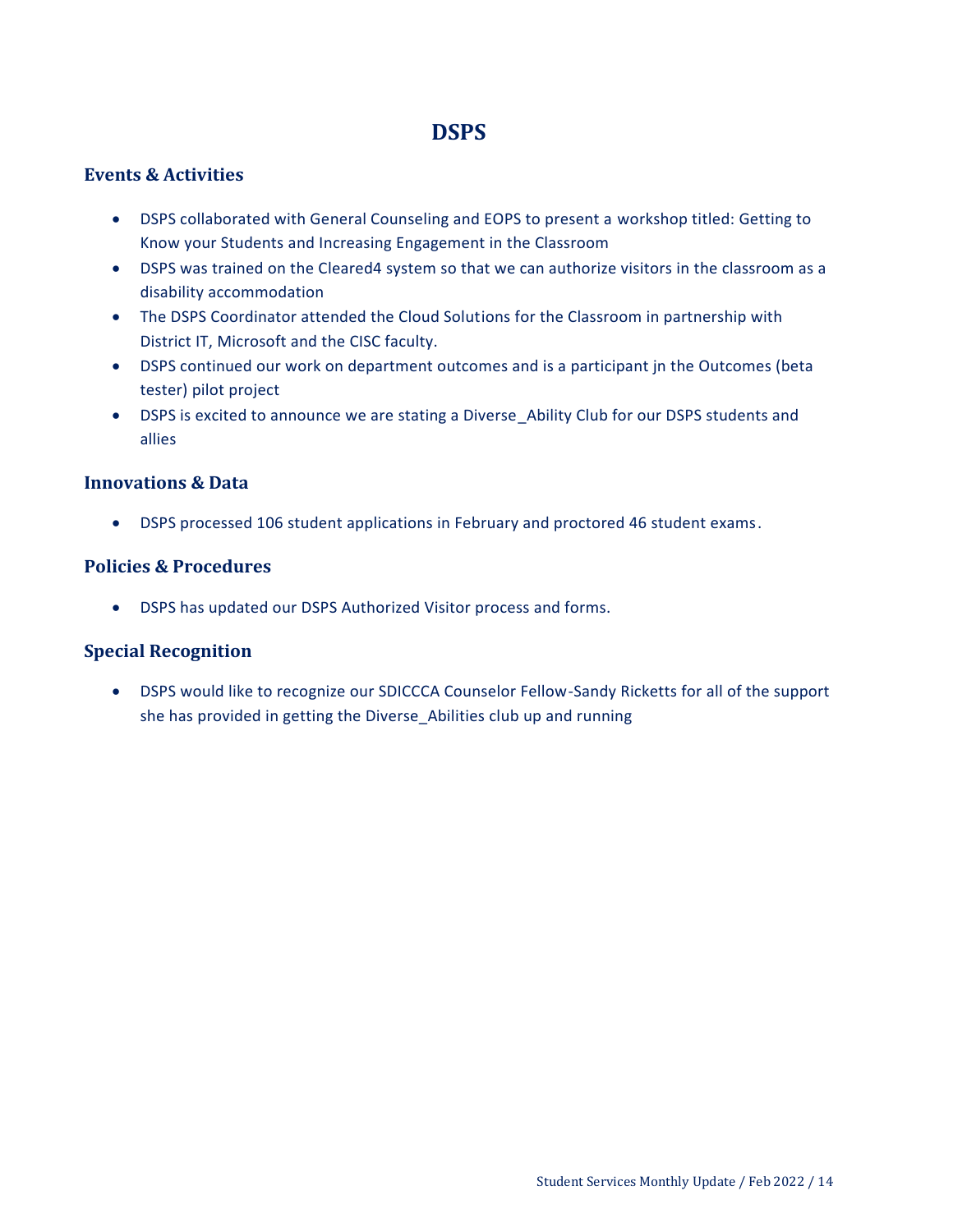# **DSPS**

### <span id="page-13-0"></span>**Events & Activities**

- DSPS collaborated with General Counseling and EOPS to present a workshop titled: Getting to Know your Students and Increasing Engagement in the Classroom
- DSPS was trained on the Cleared4 system so that we can authorize visitors in the classroom as a disability accommodation
- The DSPS Coordinator attended the Cloud Solutions for the Classroom in partnership with District IT, Microsoft and the CISC faculty.
- DSPS continued our work on department outcomes and is a participant jn the Outcomes (beta tester) pilot project
- DSPS is excited to announce we are stating a Diverse\_Ability Club for our DSPS students and allies

#### **Innovations & Data**

DSPS processed 106 student applications in February and proctored 46 student exams.

### **Policies & Procedures**

DSPS has updated our DSPS Authorized Visitor process and forms.

#### **Special Recognition**

 DSPS would like to recognize our SDICCCA Counselor Fellow-Sandy Ricketts for all of the support she has provided in getting the Diverse\_Abilities club up and running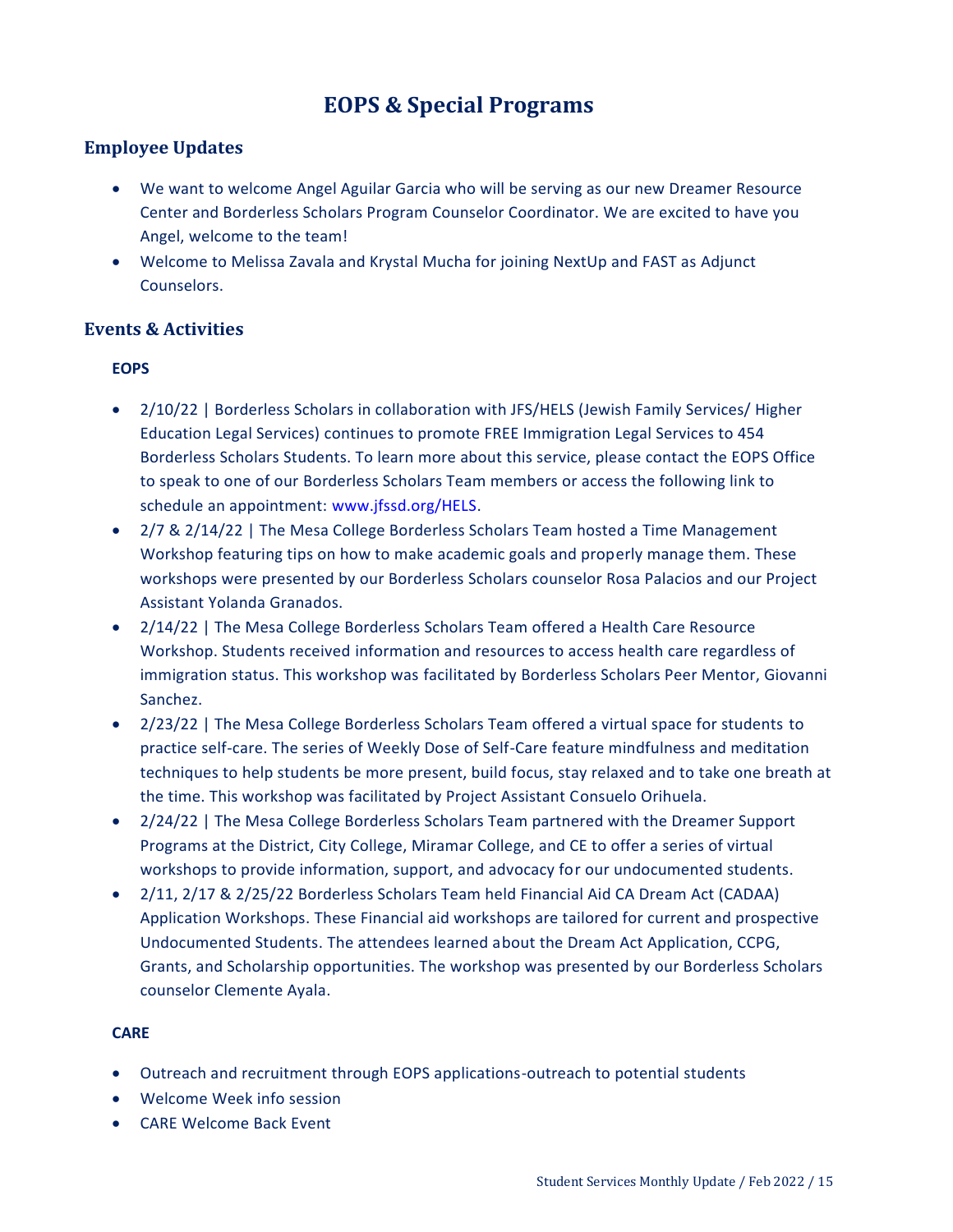# **EOPS & Special Programs**

### <span id="page-14-0"></span>**Employee Updates**

- We want to welcome Angel Aguilar Garcia who will be serving as our new Dreamer Resource Center and Borderless Scholars Program Counselor Coordinator. We are excited to have you Angel, welcome to the team!
- Welcome to Melissa Zavala and Krystal Mucha for joining NextUp and FAST as Adjunct Counselors.

#### **Events & Activities**

#### **EOPS**

- 2/10/22 | Borderless Scholars in collaboration with JFS/HELS (Jewish Family Services/ Higher Education Legal Services) continues to promote FREE Immigration Legal Services to 454 Borderless Scholars Students. To learn more about this service, please contact the EOPS Office to speak to one of our Borderless Scholars Team members or access the following link to schedule an appointment: www.jfssd.org/HELS.
- 2/7 & 2/14/22 | The Mesa College Borderless Scholars Team hosted a Time Management Workshop featuring tips on how to make academic goals and properly manage them. These workshops were presented by our Borderless Scholars counselor Rosa Palacios and our Project Assistant Yolanda Granados.
- 2/14/22 | The Mesa College Borderless Scholars Team offered a Health Care Resource Workshop. Students received information and resources to access health care regardless of immigration status. This workshop was facilitated by Borderless Scholars Peer Mentor, Giovanni Sanchez.
- 2/23/22 | The Mesa College Borderless Scholars Team offered a virtual space for students to practice self-care. The series of Weekly Dose of Self-Care feature mindfulness and meditation techniques to help students be more present, build focus, stay relaxed and to take one breath at the time. This workshop was facilitated by Project Assistant Consuelo Orihuela.
- 2/24/22 | The Mesa College Borderless Scholars Team partnered with the Dreamer Support Programs at the District, City College, Miramar College, and CE to offer a series of virtual workshops to provide information, support, and advocacy for our undocumented students.
- 2/11, 2/17 & 2/25/22 Borderless Scholars Team held Financial Aid CA Dream Act (CADAA) Application Workshops. These Financial aid workshops are tailored for current and prospective Undocumented Students. The attendees learned about the Dream Act Application, CCPG, Grants, and Scholarship opportunities. The workshop was presented by our Borderless Scholars counselor Clemente Ayala.

#### **CARE**

- Outreach and recruitment through EOPS applications-outreach to potential students
- Welcome Week info session
- CARE Welcome Back Event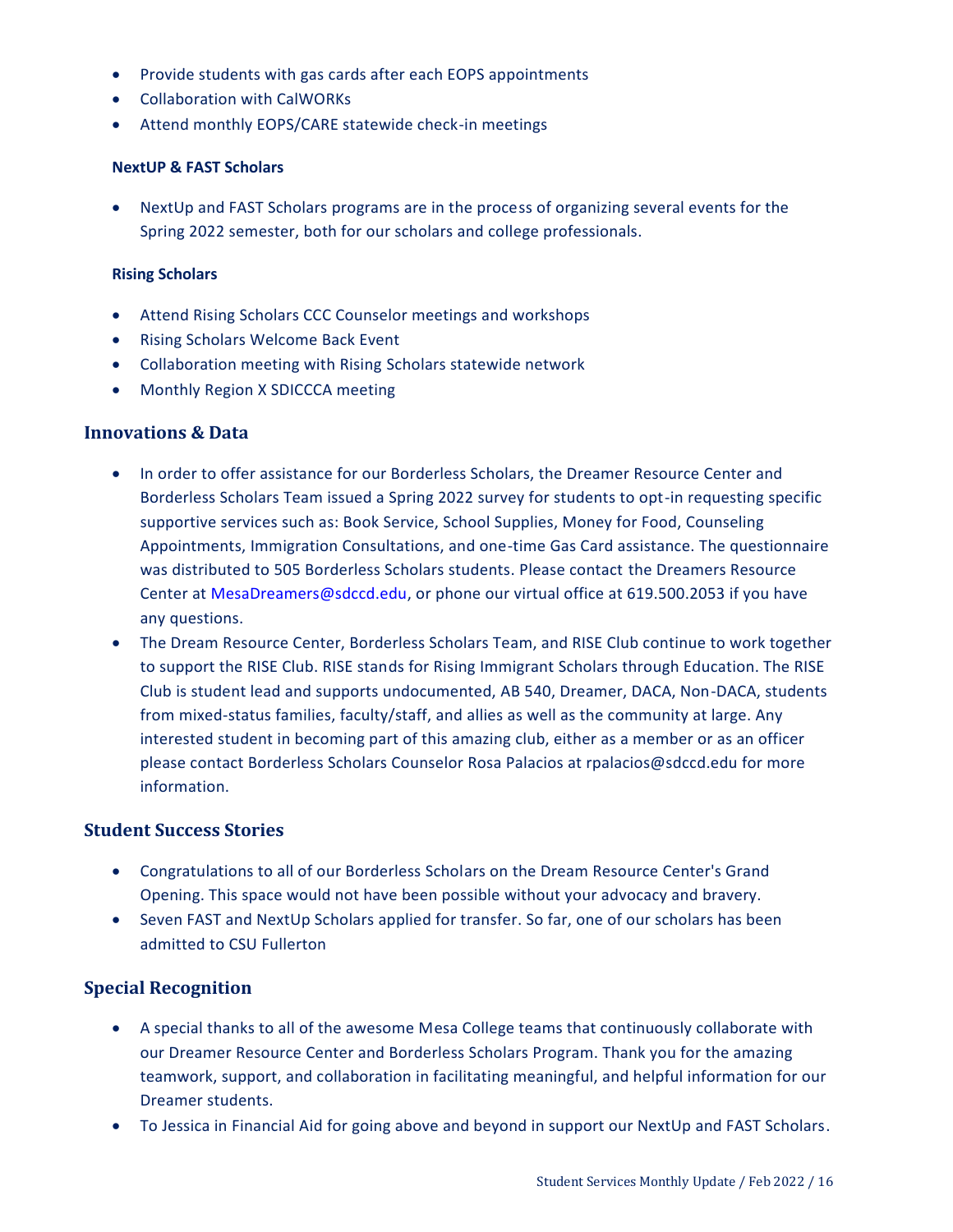- Provide students with gas cards after each EOPS appointments
- Collaboration with CalWORKs
- Attend monthly EOPS/CARE statewide check-in meetings

#### **NextUP & FAST Scholars**

 NextUp and FAST Scholars programs are in the process of organizing several events for the Spring 2022 semester, both for our scholars and college professionals.

#### **Rising Scholars**

- Attend Rising Scholars CCC Counselor meetings and workshops
- Rising Scholars Welcome Back Event
- Collaboration meeting with Rising Scholars statewide network
- Monthly Region X SDICCCA meeting

#### **Innovations & Data**

- In order to offer assistance for our Borderless Scholars, the Dreamer Resource Center and Borderless Scholars Team issued a Spring 2022 survey for students to opt-in requesting specific supportive services such as: Book Service, School Supplies, Money for Food, Counseling Appointments, Immigration Consultations, and one-time Gas Card assistance. The questionnaire was distributed to 505 Borderless Scholars students. Please contact the Dreamers Resource Center at MesaDreamers@sdccd.edu, or phone our virtual office at 619.500.2053 if you have any questions.
- The Dream Resource Center, Borderless Scholars Team, and RISE Club continue to work together to support the RISE Club. RISE stands for Rising Immigrant Scholars through Education. The RISE Club is student lead and supports undocumented, AB 540, Dreamer, DACA, Non-DACA, students from mixed-status families, faculty/staff, and allies as well as the community at large. Any interested student in becoming part of this amazing club, either as a member or as an officer please contact Borderless Scholars Counselor Rosa Palacios at rpalacios@sdccd.edu for more information.

#### **Student Success Stories**

- Congratulations to all of our Borderless Scholars on the Dream Resource Center's Grand Opening. This space would not have been possible without your advocacy and bravery.
- Seven FAST and NextUp Scholars applied for transfer. So far, one of our scholars has been admitted to CSU Fullerton

#### **Special Recognition**

- A special thanks to all of the awesome Mesa College teams that continuously collaborate with our Dreamer Resource Center and Borderless Scholars Program. Thank you for the amazing teamwork, support, and collaboration in facilitating meaningful, and helpful information for our Dreamer students.
- To Jessica in Financial Aid for going above and beyond in support our NextUp and FAST Scholars.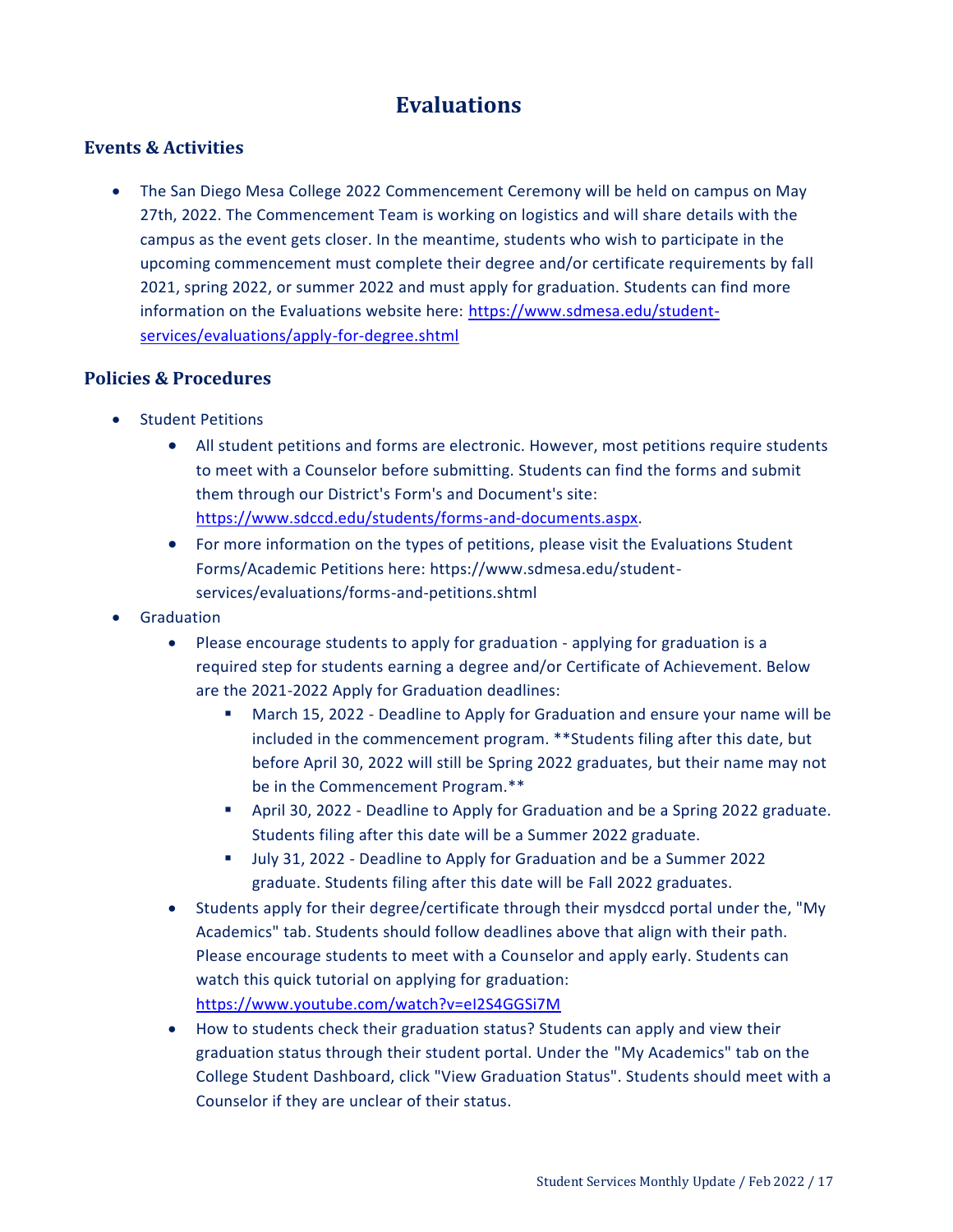# **Evaluations**

#### <span id="page-16-0"></span>**Events & Activities**

 The San Diego Mesa College 2022 Commencement Ceremony will be held on campus on May 27th, 2022. The Commencement Team is working on logistics and will share details with the campus as the event gets closer. In the meantime, students who wish to participate in the upcoming commencement must complete their degree and/or certificate requirements by fall 2021, spring 2022, or summer 2022 and must apply for graduation. Students can find more information on the Evaluations website here: [https://www.sdmesa.edu/student](https://www.sdmesa.edu/student-services/evaluations/apply-for-degree.shtml)[services/evaluations/apply-for-degree.shtml](https://www.sdmesa.edu/student-services/evaluations/apply-for-degree.shtml)

#### **Policies & Procedures**

- Student Petitions
	- All student petitions and forms are electronic. However, most petitions require students to meet with a Counselor before submitting. Students can find the forms and submit them through our District's Form's and Document's site: [https://www.sdccd.edu/students/forms-and-documents.aspx.](https://www.sdccd.edu/students/forms-and-documents.aspx)
	- For more information on the types of petitions, please visit the Evaluations Student Forms/Academic Petitions here: https://www.sdmesa.edu/studentservices/evaluations/forms-and-petitions.shtml
- Graduation
	- Please encourage students to apply for graduation applying for graduation is a required step for students earning a degree and/or Certificate of Achievement. Below are the 2021-2022 Apply for Graduation deadlines:
		- March 15, 2022 Deadline to Apply for Graduation and ensure your name will be included in the commencement program. \*\*Students filing after this date, but before April 30, 2022 will still be Spring 2022 graduates, but their name may not be in the Commencement Program.\*\*
		- April 30, 2022 Deadline to Apply for Graduation and be a Spring 2022 graduate. Students filing after this date will be a Summer 2022 graduate.
		- July 31, 2022 Deadline to Apply for Graduation and be a Summer 2022 graduate. Students filing after this date will be Fall 2022 graduates.
	- Students apply for their degree/certificate through their mysdccd portal under the, "My Academics" tab. Students should follow deadlines above that align with their path. Please encourage students to meet with a Counselor and apply early. Students can watch this quick tutorial on applying for graduation: <https://www.youtube.com/watch?v=eI2S4GGSi7M>
	- How to students check their graduation status? Students can apply and view their graduation status through their student portal. Under the "My Academics" tab on the College Student Dashboard, click "View Graduation Status". Students should meet with a Counselor if they are unclear of their status.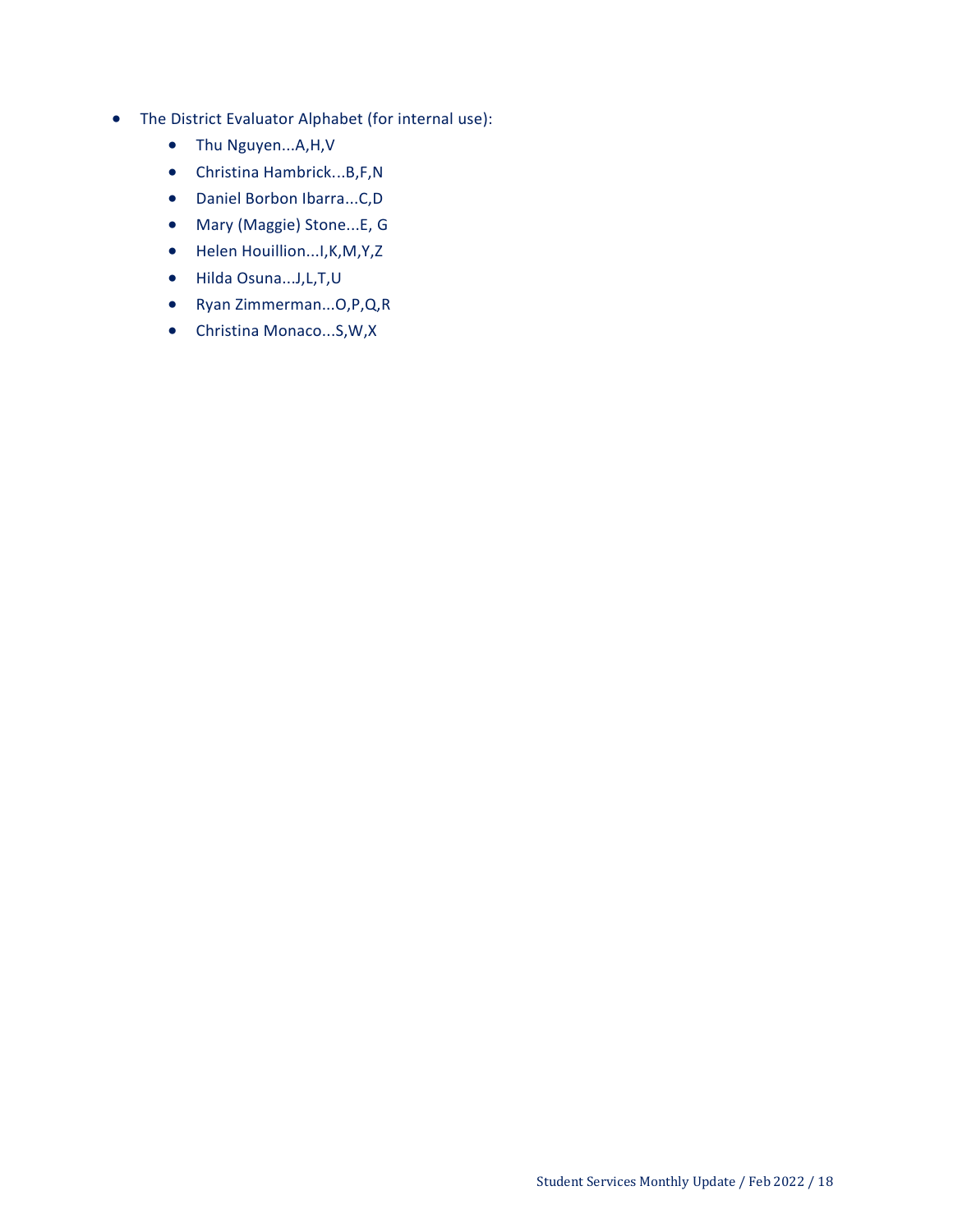- The District Evaluator Alphabet (for internal use):
	- Thu Nguyen...A,H,V
	- Christina Hambrick...B,F,N
	- Daniel Borbon Ibarra...C,D
	- Mary (Maggie) Stone...E, G
	- Helen Houillion...I, K, M, Y, Z
	- Hilda Osuna...J,L,T,U
	- Ryan Zimmerman...O,P,Q,R
	- Christina Monaco...S,W,X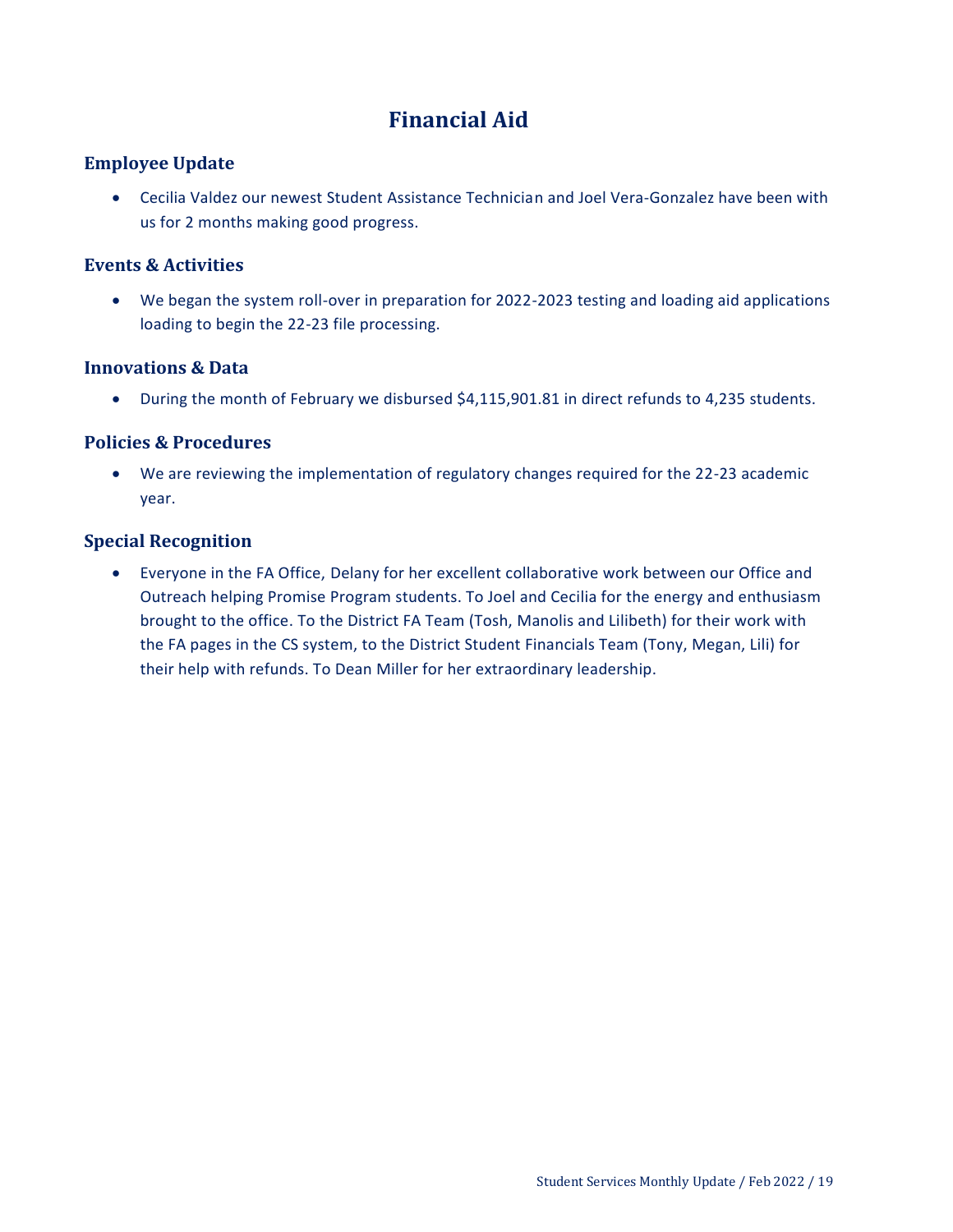# **Financial Aid**

### <span id="page-18-0"></span>**Employee Update**

 Cecilia Valdez our newest Student Assistance Technician and Joel Vera-Gonzalez have been with us for 2 months making good progress.

#### **Events & Activities**

 We began the system roll-over in preparation for 2022-2023 testing and loading aid applications loading to begin the 22-23 file processing.

#### **Innovations & Data**

During the month of February we disbursed \$4,115,901.81 in direct refunds to 4,235 students.

#### **Policies & Procedures**

 We are reviewing the implementation of regulatory changes required for the 22-23 academic year.

### **Special Recognition**

 Everyone in the FA Office, Delany for her excellent collaborative work between our Office and Outreach helping Promise Program students. To Joel and Cecilia for the energy and enthusiasm brought to the office. To the District FA Team (Tosh, Manolis and Lilibeth) for their work with the FA pages in the CS system, to the District Student Financials Team (Tony, Megan, Lili) for their help with refunds. To Dean Miller for her extraordinary leadership.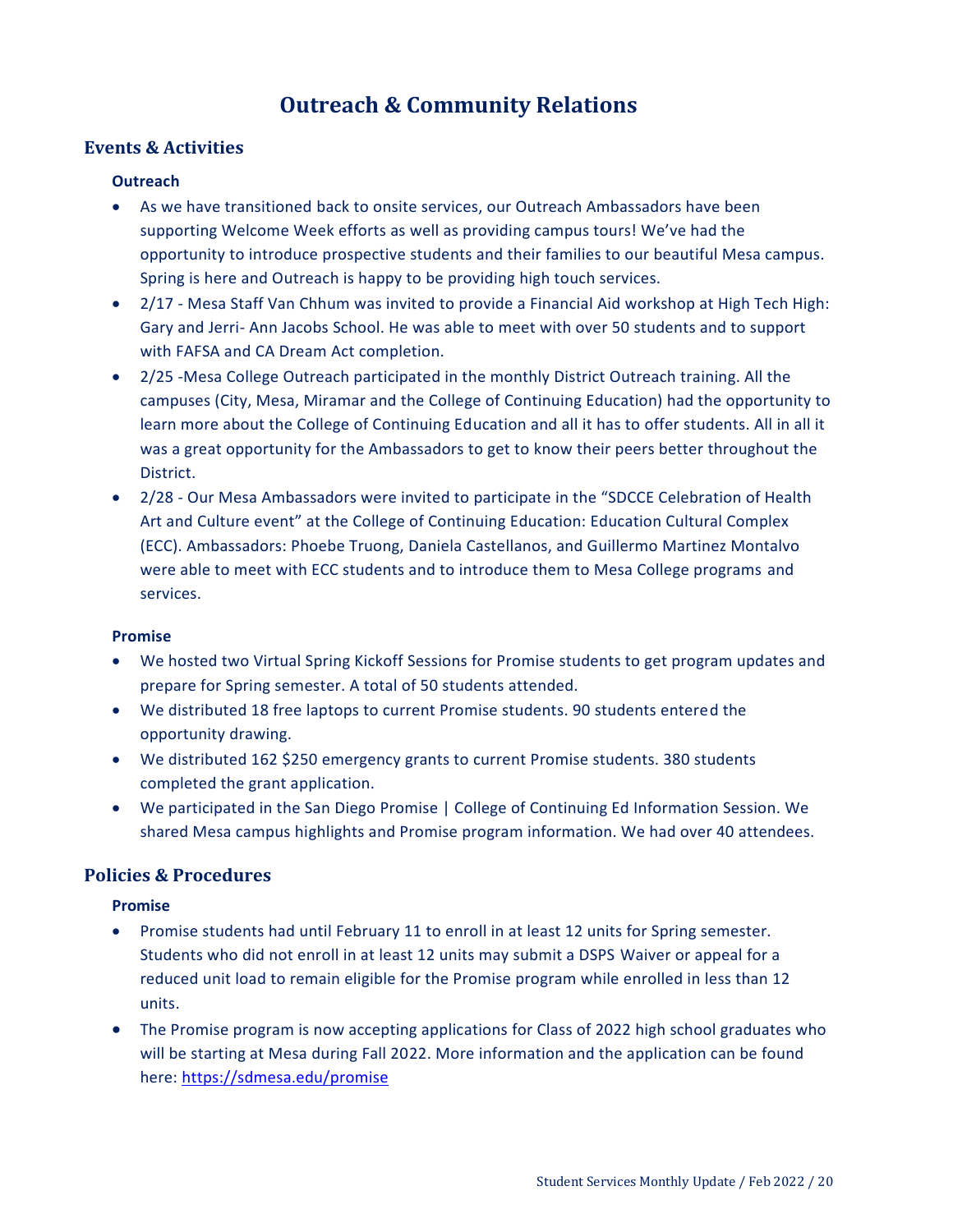# **Outreach & Community Relations**

#### <span id="page-19-0"></span>**Events & Activities**

#### **Outreach**

- As we have transitioned back to onsite services, our Outreach Ambassadors have been supporting Welcome Week efforts as well as providing campus tours! We've had the opportunity to introduce prospective students and their families to our beautiful Mesa campus. Spring is here and Outreach is happy to be providing high touch services.
- 2/17 Mesa Staff Van Chhum was invited to provide a Financial Aid workshop at High Tech High: Gary and Jerri- Ann Jacobs School. He was able to meet with over 50 students and to support with FAFSA and CA Dream Act completion.
- 2/25 -Mesa College Outreach participated in the monthly District Outreach training. All the campuses (City, Mesa, Miramar and the College of Continuing Education) had the opportunity to learn more about the College of Continuing Education and all it has to offer students. All in all it was a great opportunity for the Ambassadors to get to know their peers better throughout the District.
- 2/28 Our Mesa Ambassadors were invited to participate in the "SDCCE Celebration of Health Art and Culture event" at the College of Continuing Education: Education Cultural Complex (ECC). Ambassadors: Phoebe Truong, Daniela Castellanos, and Guillermo Martinez Montalvo were able to meet with ECC students and to introduce them to Mesa College programs and services.

#### **Promise**

- We hosted two Virtual Spring Kickoff Sessions for Promise students to get program updates and prepare for Spring semester. A total of 50 students attended.
- We distributed 18 free laptops to current Promise students. 90 students entered the opportunity drawing.
- We distributed 162 \$250 emergency grants to current Promise students. 380 students completed the grant application.
- We participated in the San Diego Promise | College of Continuing Ed Information Session. We shared Mesa campus highlights and Promise program information. We had over 40 attendees.

#### **Policies & Procedures**

#### **Promise**

- Promise students had until February 11 to enroll in at least 12 units for Spring semester. Students who did not enroll in at least 12 units may submit a DSPS Waiver or appeal for a reduced unit load to remain eligible for the Promise program while enrolled in less than 12 units.
- The Promise program is now accepting applications for Class of 2022 high school graduates who will be starting at Mesa during Fall 2022. More information and the application can be found here:<https://sdmesa.edu/promise>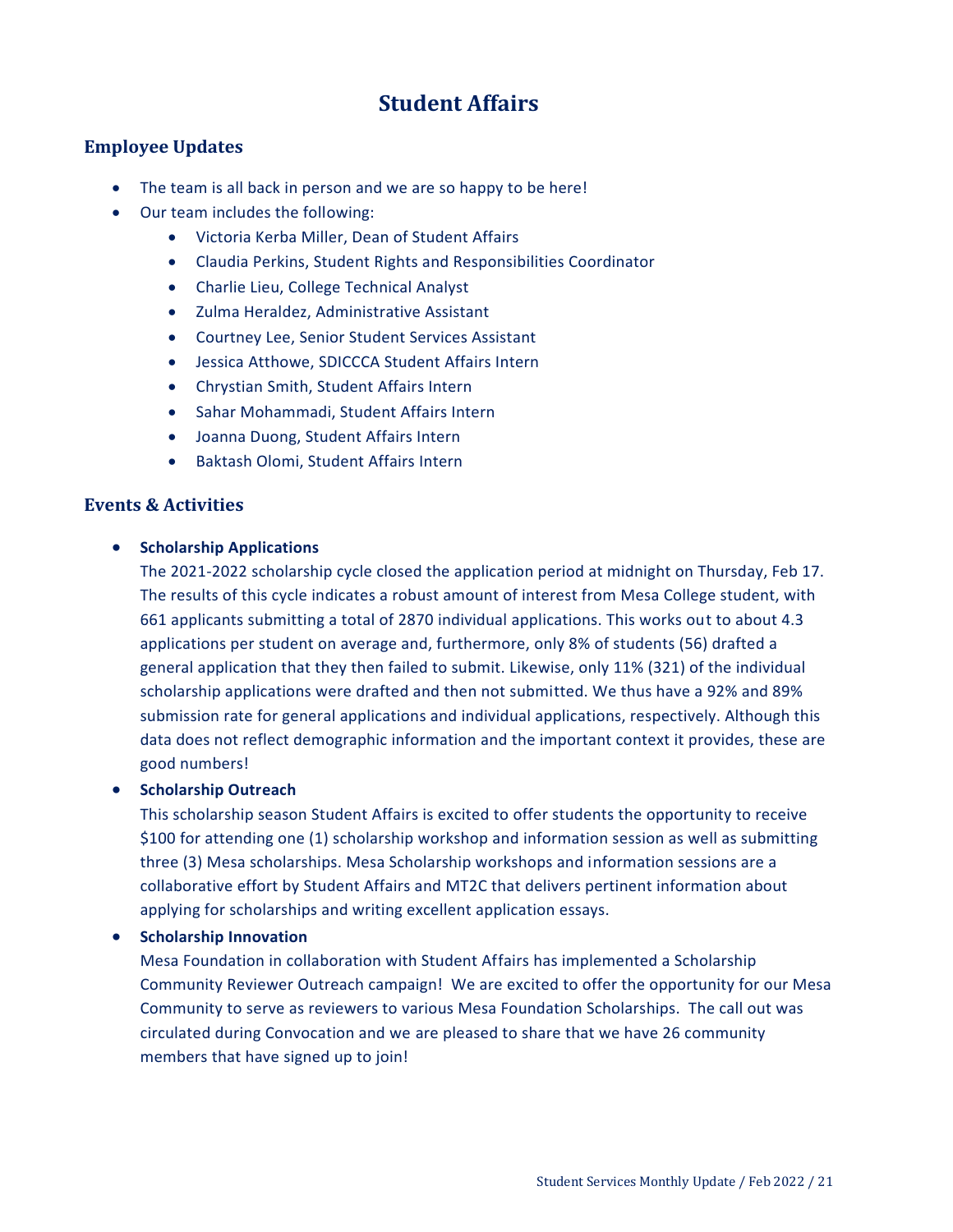# **Student Affairs**

#### <span id="page-20-0"></span>**Employee Updates**

- The team is all back in person and we are so happy to be here!
- Our team includes the following:
	- Victoria Kerba Miller, Dean of Student Affairs
	- Claudia Perkins, Student Rights and Responsibilities Coordinator
	- Charlie Lieu, College Technical Analyst
	- Zulma Heraldez, Administrative Assistant
	- Courtney Lee, Senior Student Services Assistant
	- Jessica Atthowe, SDICCCA Student Affairs Intern
	- Chrystian Smith, Student Affairs Intern
	- Sahar Mohammadi, Student Affairs Intern
	- Joanna Duong, Student Affairs Intern
	- Baktash Olomi, Student Affairs Intern

#### **Events & Activities**

#### **•** Scholarship Applications

The 2021-2022 scholarship cycle closed the application period at midnight on Thursday, Feb 17. The results of this cycle indicates a robust amount of interest from Mesa College student, with 661 applicants submitting a total of 2870 individual applications. This works out to about 4.3 applications per student on average and, furthermore, only 8% of students (56) drafted a general application that they then failed to submit. Likewise, only 11% (321) of the individual scholarship applications were drafted and then not submitted. We thus have a 92% and 89% submission rate for general applications and individual applications, respectively. Although this data does not reflect demographic information and the important context it provides, these are good numbers!

#### **•** Scholarship Outreach

This scholarship season Student Affairs is excited to offer students the opportunity to receive \$100 for attending one (1) scholarship workshop and information session as well as submitting three (3) Mesa scholarships. Mesa Scholarship workshops and information sessions are a collaborative effort by Student Affairs and MT2C that delivers pertinent information about applying for scholarships and writing excellent application essays.

#### **•** Scholarship Innovation

Mesa Foundation in collaboration with Student Affairs has implemented a Scholarship Community Reviewer Outreach campaign! We are excited to offer the opportunity for our Mesa Community to serve as reviewers to various Mesa Foundation Scholarships. The call out was circulated during Convocation and we are pleased to share that we have 26 community members that have signed up to join!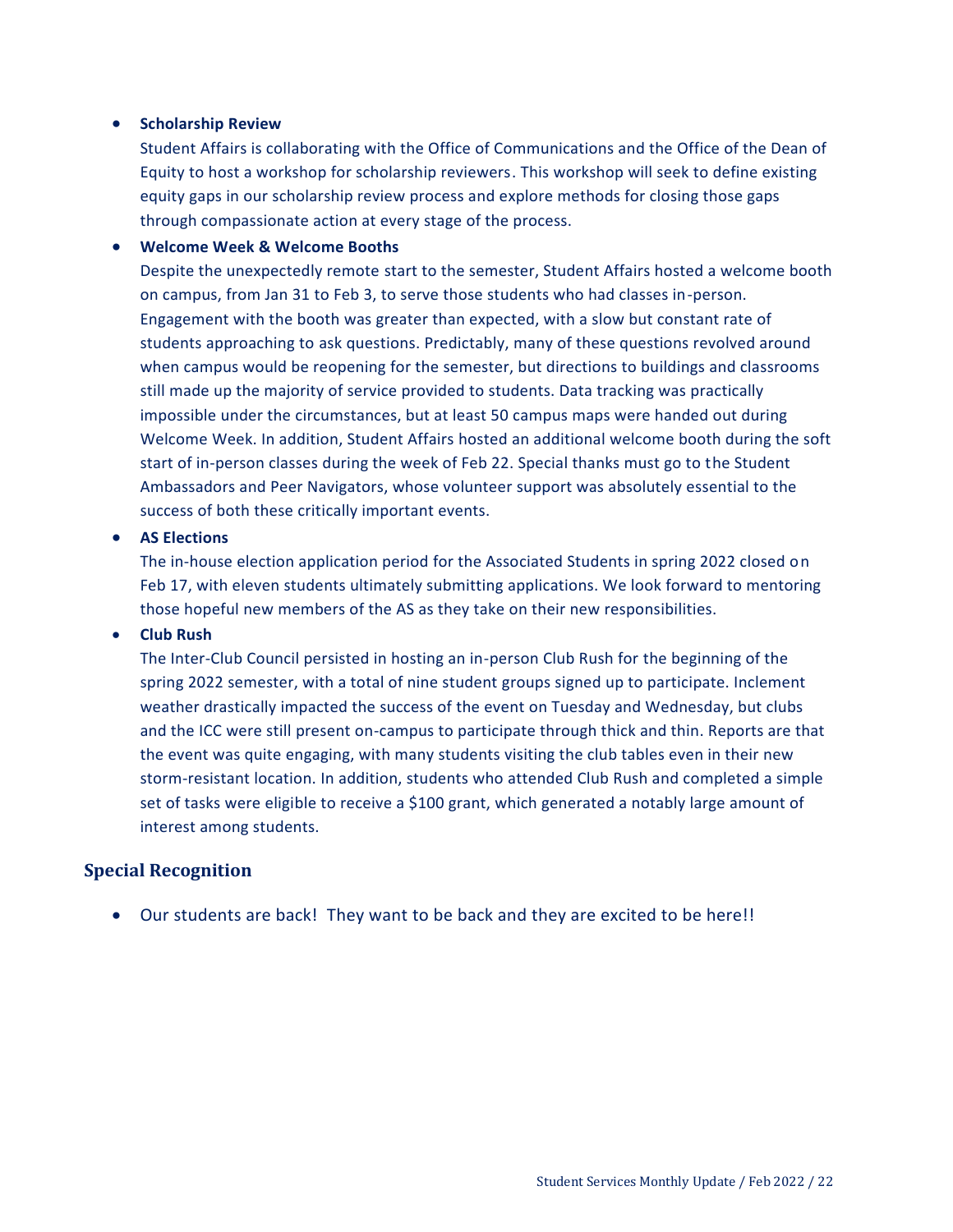#### **•** Scholarship Review

Student Affairs is collaborating with the Office of Communications and the Office of the Dean of Equity to host a workshop for scholarship reviewers. This workshop will seek to define existing equity gaps in our scholarship review process and explore methods for closing those gaps through compassionate action at every stage of the process.

#### **Welcome Week & Welcome Booths**

Despite the unexpectedly remote start to the semester, Student Affairs hosted a welcome booth on campus, from Jan 31 to Feb 3, to serve those students who had classes in-person. Engagement with the booth was greater than expected, with a slow but constant rate of students approaching to ask questions. Predictably, many of these questions revolved around when campus would be reopening for the semester, but directions to buildings and classrooms still made up the majority of service provided to students. Data tracking was practically impossible under the circumstances, but at least 50 campus maps were handed out during Welcome Week. In addition, Student Affairs hosted an additional welcome booth during the soft start of in-person classes during the week of Feb 22. Special thanks must go to the Student Ambassadors and Peer Navigators, whose volunteer support was absolutely essential to the success of both these critically important events.

#### **AS Elections**

The in-house election application period for the Associated Students in spring 2022 closed on Feb 17, with eleven students ultimately submitting applications. We look forward to mentoring those hopeful new members of the AS as they take on their new responsibilities.

#### **Club Rush**

The Inter-Club Council persisted in hosting an in-person Club Rush for the beginning of the spring 2022 semester, with a total of nine student groups signed up to participate. Inclement weather drastically impacted the success of the event on Tuesday and Wednesday, but clubs and the ICC were still present on-campus to participate through thick and thin. Reports are that the event was quite engaging, with many students visiting the club tables even in their new storm-resistant location. In addition, students who attended Club Rush and completed a simple set of tasks were eligible to receive a \$100 grant, which generated a notably large amount of interest among students.

#### **Special Recognition**

Our students are back! They want to be back and they are excited to be here!!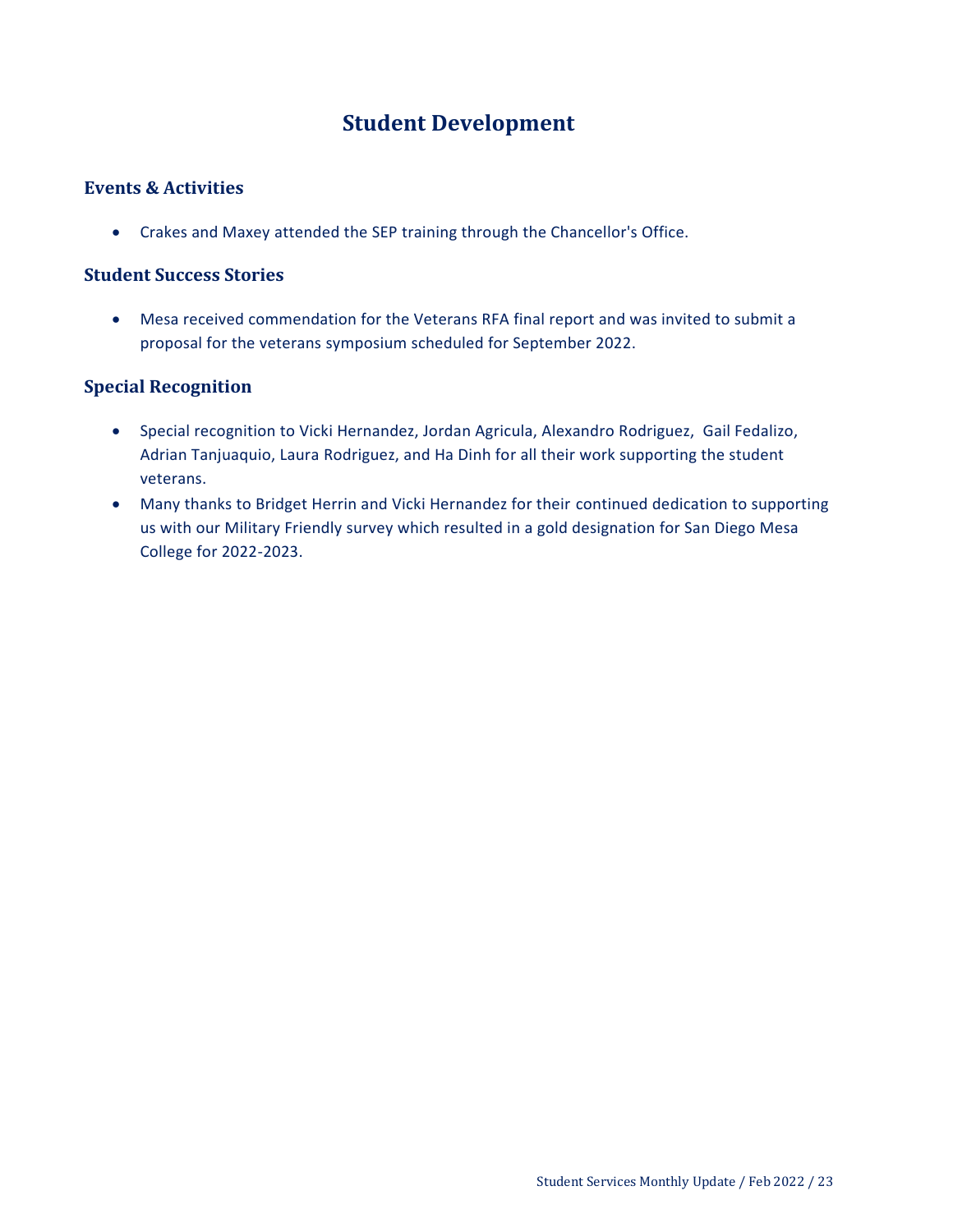# **Student Development**

#### <span id="page-22-0"></span>**Events & Activities**

Crakes and Maxey attended the SEP training through the Chancellor's Office.

#### **Student Success Stories**

 Mesa received commendation for the Veterans RFA final report and was invited to submit a proposal for the veterans symposium scheduled for September 2022.

#### **Special Recognition**

- Special recognition to Vicki Hernandez, Jordan Agricula, Alexandro Rodriguez, Gail Fedalizo, Adrian Tanjuaquio, Laura Rodriguez, and Ha Dinh for all their work supporting the student veterans.
- Many thanks to Bridget Herrin and Vicki Hernandez for their continued dedication to supporting us with our Military Friendly survey which resulted in a gold designation for San Diego Mesa College for 2022-2023.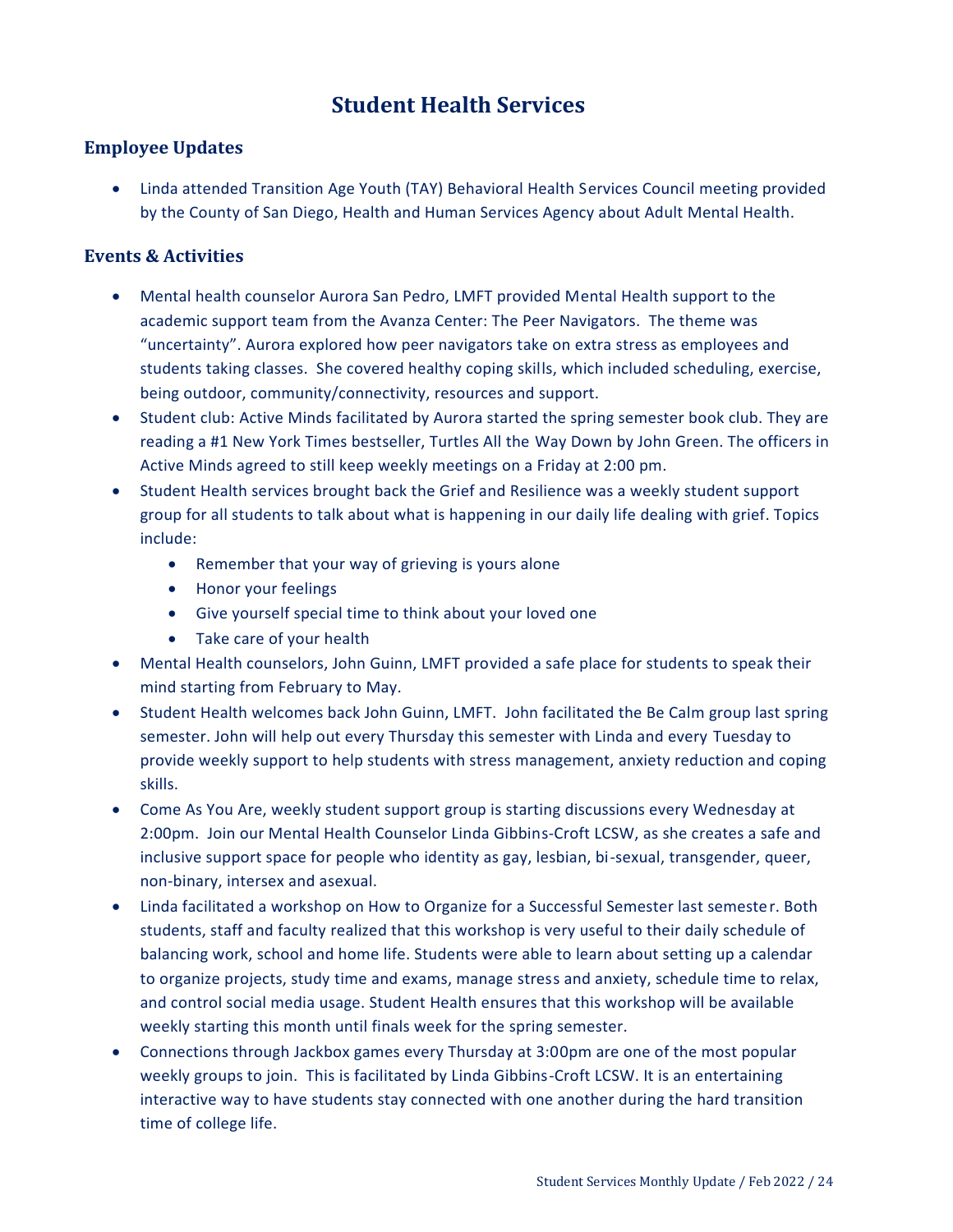# **Student Health Services**

### <span id="page-23-0"></span>**Employee Updates**

 Linda attended Transition Age Youth (TAY) Behavioral Health Services Council meeting provided by the County of San Diego, Health and Human Services Agency about Adult Mental Health.

### **Events & Activities**

- Mental health counselor Aurora San Pedro, LMFT provided Mental Health support to the academic support team from the Avanza Center: The Peer Navigators. The theme was "uncertainty". Aurora explored how peer navigators take on extra stress as employees and students taking classes. She covered healthy coping skills, which included scheduling, exercise, being outdoor, community/connectivity, resources and support.
- Student club: Active Minds facilitated by Aurora started the spring semester book club. They are reading a #1 New York Times bestseller, Turtles All the Way Down by John Green. The officers in Active Minds agreed to still keep weekly meetings on a Friday at 2:00 pm.
- Student Health services brought back the Grief and Resilience was a weekly student support group for all students to talk about what is happening in our daily life dealing with grief. Topics include:
	- Remember that your way of grieving is yours alone
	- Honor your feelings
	- Give yourself special time to think about your loved one
	- Take care of your health
- Mental Health counselors, John Guinn, LMFT provided a safe place for students to speak their mind starting from February to May.
- Student Health welcomes back John Guinn, LMFT. John facilitated the Be Calm group last spring semester. John will help out every Thursday this semester with Linda and every Tuesday to provide weekly support to help students with stress management, anxiety reduction and coping skills.
- Come As You Are, weekly student support group is starting discussions every Wednesday at 2:00pm. Join our Mental Health Counselor Linda Gibbins-Croft LCSW, as she creates a safe and inclusive support space for people who identity as gay, lesbian, bi-sexual, transgender, queer, non-binary, intersex and asexual.
- Linda facilitated a workshop on How to Organize for a Successful Semester last semester. Both students, staff and faculty realized that this workshop is very useful to their daily schedule of balancing work, school and home life. Students were able to learn about setting up a calendar to organize projects, study time and exams, manage stress and anxiety, schedule time to relax, and control social media usage. Student Health ensures that this workshop will be available weekly starting this month until finals week for the spring semester.
- Connections through Jackbox games every Thursday at 3:00pm are one of the most popular weekly groups to join. This is facilitated by Linda Gibbins-Croft LCSW. It is an entertaining interactive way to have students stay connected with one another during the hard transition time of college life.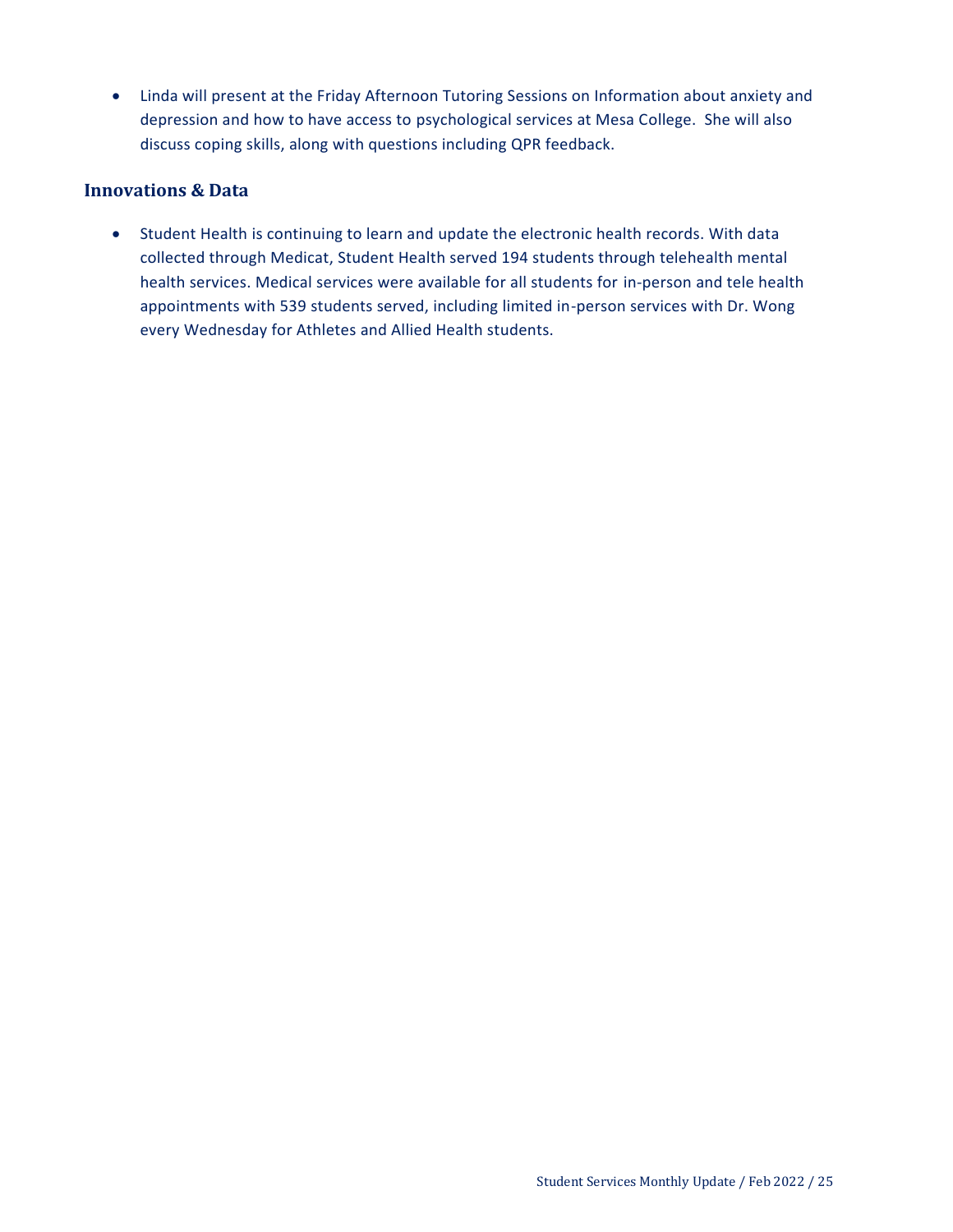Linda will present at the Friday Afternoon Tutoring Sessions on Information about anxiety and depression and how to have access to psychological services at Mesa College. She will also discuss coping skills, along with questions including QPR feedback.

#### **Innovations & Data**

 Student Health is continuing to learn and update the electronic health records. With data collected through Medicat, Student Health served 194 students through telehealth mental health services. Medical services were available for all students for in-person and tele health appointments with 539 students served, including limited in-person services with Dr. Wong every Wednesday for Athletes and Allied Health students.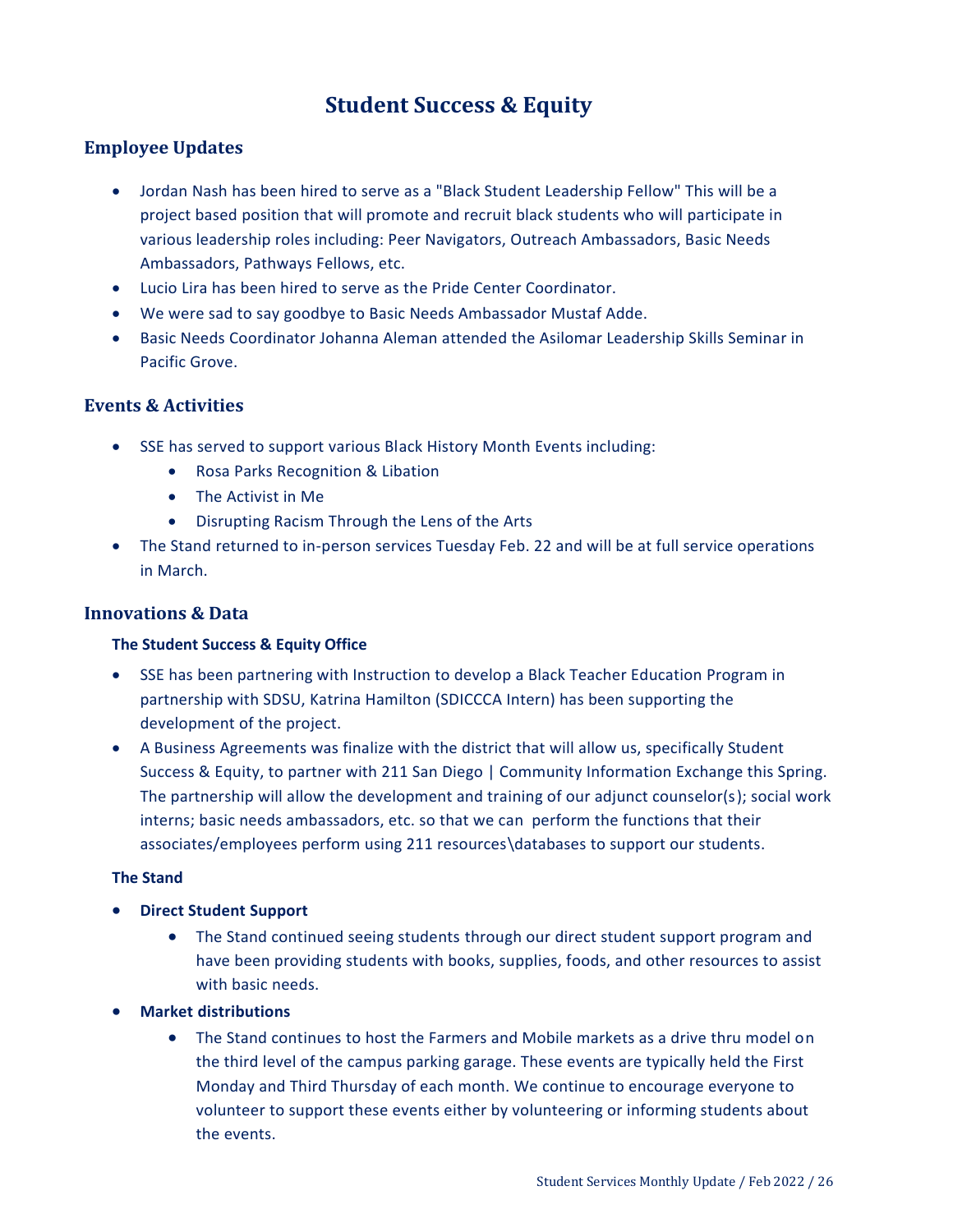# **Student Success & Equity**

### <span id="page-25-0"></span>**Employee Updates**

- Jordan Nash has been hired to serve as a "Black Student Leadership Fellow" This will be a project based position that will promote and recruit black students who will participate in various leadership roles including: Peer Navigators, Outreach Ambassadors, Basic Needs Ambassadors, Pathways Fellows, etc.
- Lucio Lira has been hired to serve as the Pride Center Coordinator.
- We were sad to say goodbye to Basic Needs Ambassador Mustaf Adde.
- Basic Needs Coordinator Johanna Aleman attended the Asilomar Leadership Skills Seminar in Pacific Grove.

#### **Events & Activities**

- SSE has served to support various Black History Month Events including:
	- Rosa Parks Recognition & Libation
	- The Activist in Me
	- Disrupting Racism Through the Lens of the Arts
- The Stand returned to in-person services Tuesday Feb. 22 and will be at full service operations in March.

#### **Innovations & Data**

#### **The Student Success & Equity Office**

- SSE has been partnering with Instruction to develop a Black Teacher Education Program in partnership with SDSU, Katrina Hamilton (SDICCCA Intern) has been supporting the development of the project.
- A Business Agreements was finalize with the district that will allow us, specifically Student Success & Equity, to partner with 211 San Diego | Community Information Exchange this Spring. The partnership will allow the development and training of our adjunct counselor(s); social work interns; basic needs ambassadors, etc. so that we can perform the functions that their associates/employees perform using 211 resources\databases to support our students.

#### **The Stand**

- **Direct Student Support**
	- The Stand continued seeing students through our direct student support program and have been providing students with books, supplies, foods, and other resources to assist with basic needs.
- **Market distributions**
	- The Stand continues to host the Farmers and Mobile markets as a drive thru model on the third level of the campus parking garage. These events are typically held the First Monday and Third Thursday of each month. We continue to encourage everyone to volunteer to support these events either by volunteering or informing students about the events.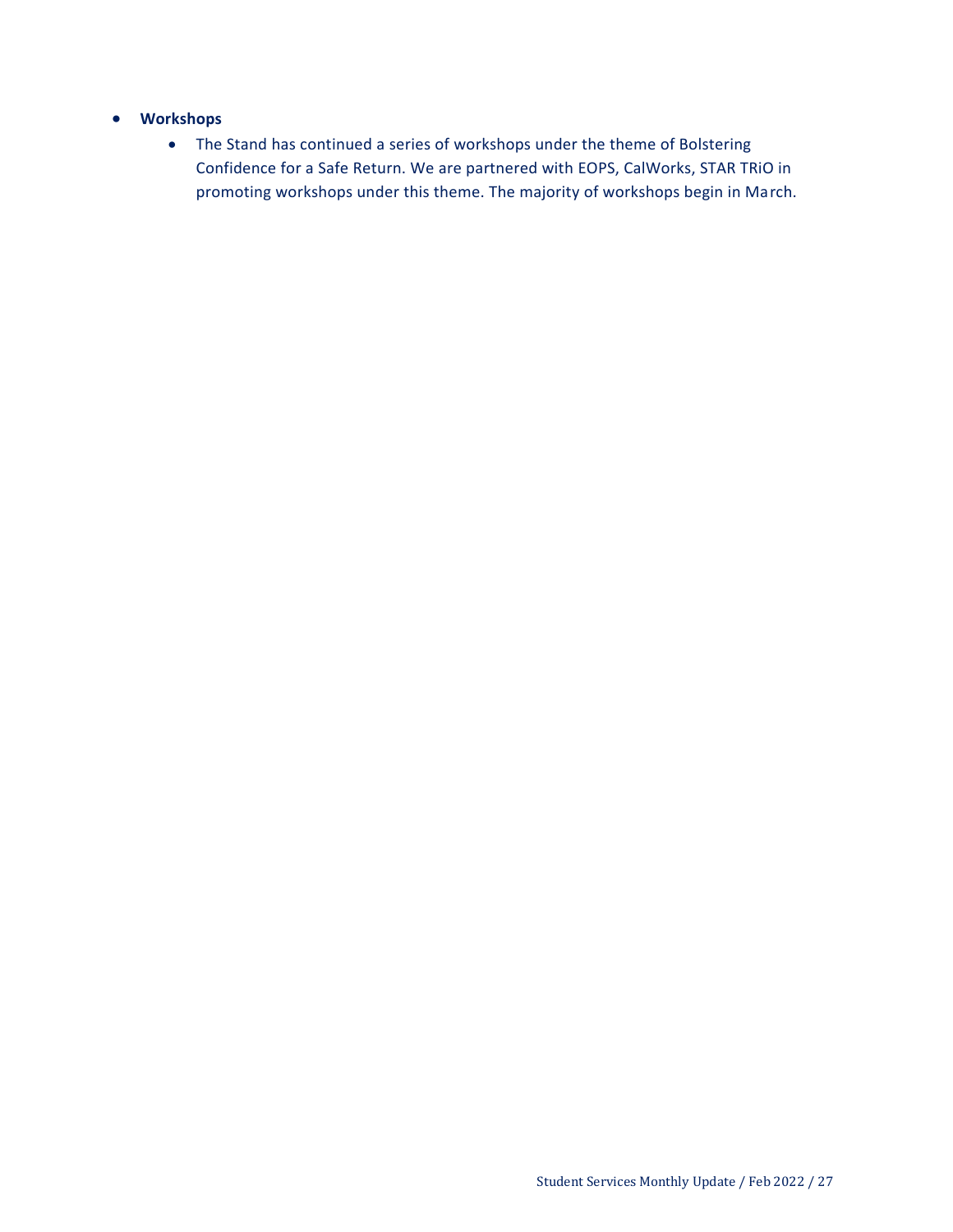#### **Workshops**

 The Stand has continued a series of workshops under the theme of Bolstering Confidence for a Safe Return. We are partnered with EOPS, CalWorks, STAR TRiO in promoting workshops under this theme. The majority of workshops begin in March.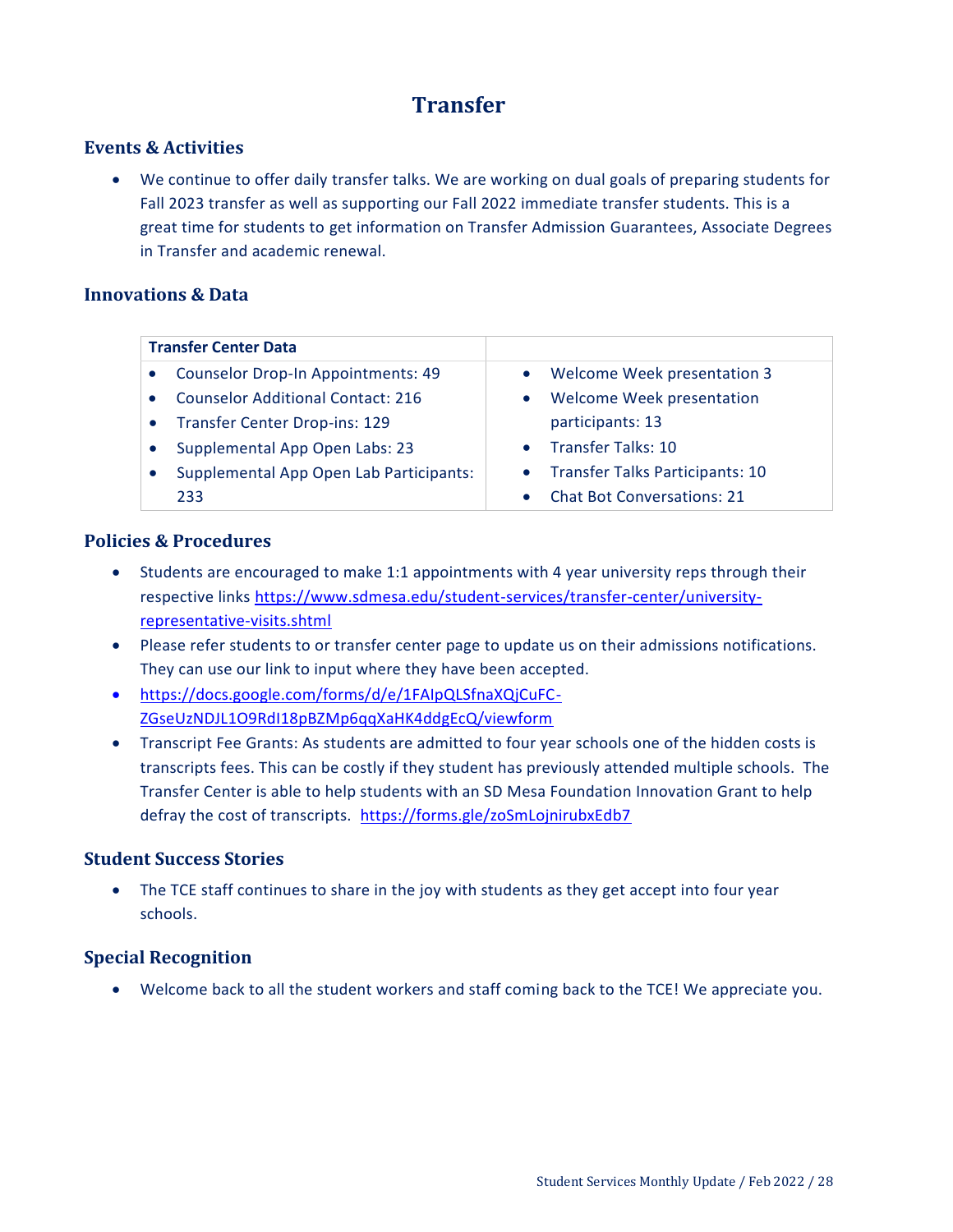# **Transfer**

#### <span id="page-27-0"></span>**Events & Activities**

 We continue to offer daily transfer talks. We are working on dual goals of preparing students for Fall 2023 transfer as well as supporting our Fall 2022 immediate transfer students. This is a great time for students to get information on Transfer Admission Guarantees, Associate Degrees in Transfer and academic renewal.

#### **Innovations & Data**

| <b>Transfer Center Data</b>               |                                   |
|-------------------------------------------|-----------------------------------|
| <b>Counselor Drop-In Appointments: 49</b> | Welcome Week presentation 3       |
| <b>Counselor Additional Contact: 216</b>  | Welcome Week presentation         |
| <b>Transfer Center Drop-ins: 129</b>      | participants: 13                  |
| Supplemental App Open Labs: 23            | • Transfer Talks: 10              |
| Supplemental App Open Lab Participants:   | • Transfer Talks Participants: 10 |
| 233                                       | <b>Chat Bot Conversations: 21</b> |

#### **Policies & Procedures**

- Students are encouraged to make 1:1 appointments with 4 year university reps through their respective links [https://www.sdmesa.edu/student-services/transfer-center/university](https://www.sdmesa.edu/student-services/transfer-center/university-representative-visits.shtml)[representative-visits.shtml](https://www.sdmesa.edu/student-services/transfer-center/university-representative-visits.shtml)
- Please refer students to or transfer center page to update us on their admissions notifications. They can use our link to input where they have been accepted.
- [https://docs.google.com/forms/d/e/1FAIpQLSfnaXQjCuFC-](https://docs.google.com/forms/d/e/1FAIpQLSfnaXQjCuFC-ZGseUzNDJL1O9RdI18pBZMp6qqXaHK4ddgEcQ/viewform)[ZGseUzNDJL1O9RdI18pBZMp6qqXaHK4ddgEcQ/viewform](https://docs.google.com/forms/d/e/1FAIpQLSfnaXQjCuFC-ZGseUzNDJL1O9RdI18pBZMp6qqXaHK4ddgEcQ/viewform)
- Transcript Fee Grants: As students are admitted to four year schools one of the hidden costs is transcripts fees. This can be costly if they student has previously attended multiple schools. The Transfer Center is able to help students with an SD Mesa Foundation Innovation Grant to help defray the cost of transcripts. <https://forms.gle/zoSmLojnirubxEdb7>

#### **Student Success Stories**

 The TCE staff continues to share in the joy with students as they get accept into four year schools.

#### **Special Recognition**

Welcome back to all the student workers and staff coming back to the TCE! We appreciate you.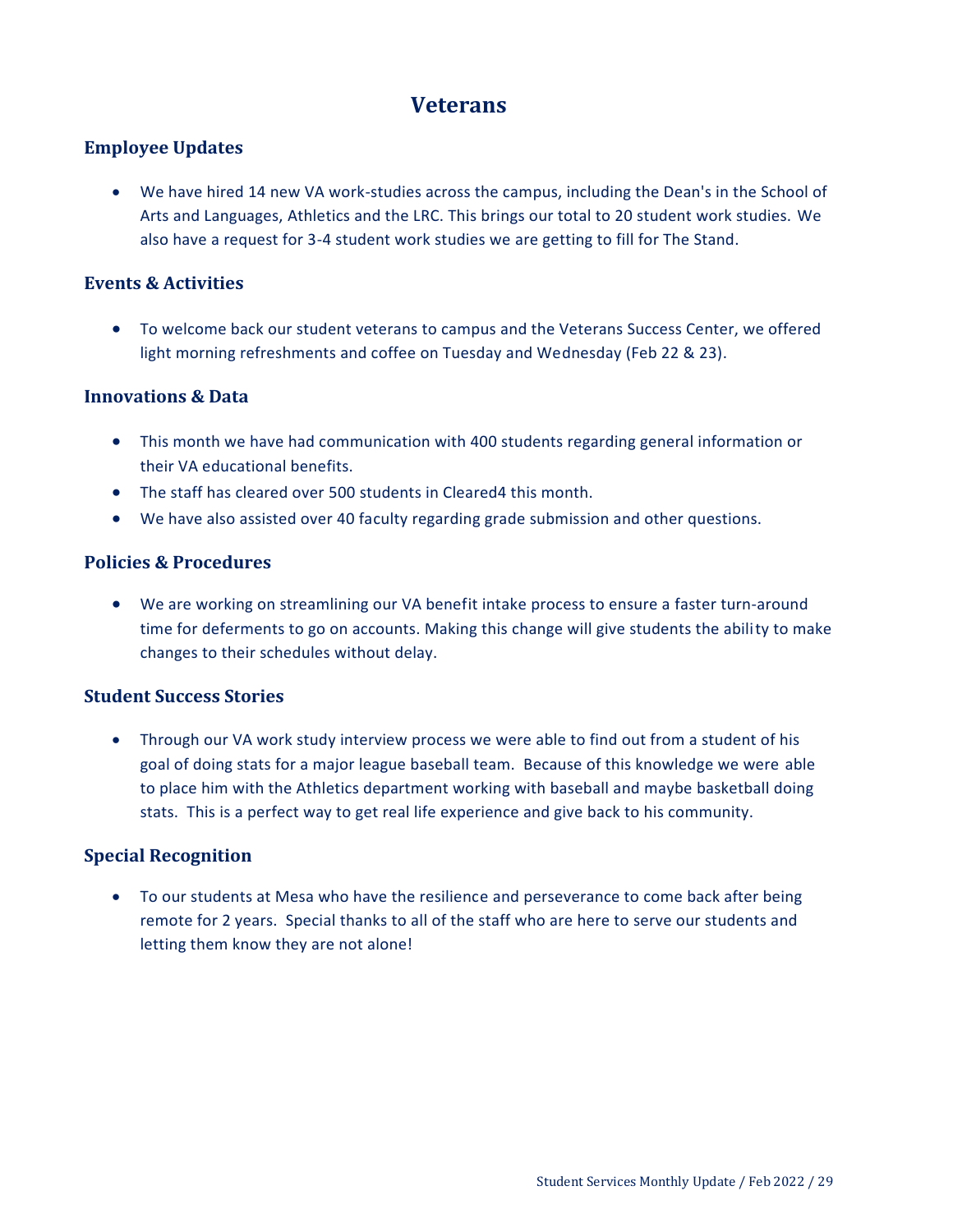# **Veterans**

### <span id="page-28-0"></span>**Employee Updates**

 We have hired 14 new VA work-studies across the campus, including the Dean's in the School of Arts and Languages, Athletics and the LRC. This brings our total to 20 student work studies. We also have a request for 3-4 student work studies we are getting to fill for The Stand.

#### **Events & Activities**

 To welcome back our student veterans to campus and the Veterans Success Center, we offered light morning refreshments and coffee on Tuesday and Wednesday (Feb 22 & 23).

#### **Innovations & Data**

- This month we have had communication with 400 students regarding general information or their VA educational benefits.
- The staff has cleared over 500 students in Cleared4 this month.
- We have also assisted over 40 faculty regarding grade submission and other questions.

#### **Policies & Procedures**

 We are working on streamlining our VA benefit intake process to ensure a faster turn-around time for deferments to go on accounts. Making this change will give students the ability to make changes to their schedules without delay.

#### **Student Success Stories**

 Through our VA work study interview process we were able to find out from a student of his goal of doing stats for a major league baseball team. Because of this knowledge we were able to place him with the Athletics department working with baseball and maybe basketball doing stats. This is a perfect way to get real life experience and give back to his community.

#### **Special Recognition**

 To our students at Mesa who have the resilience and perseverance to come back after being remote for 2 years. Special thanks to all of the staff who are here to serve our students and letting them know they are not alone!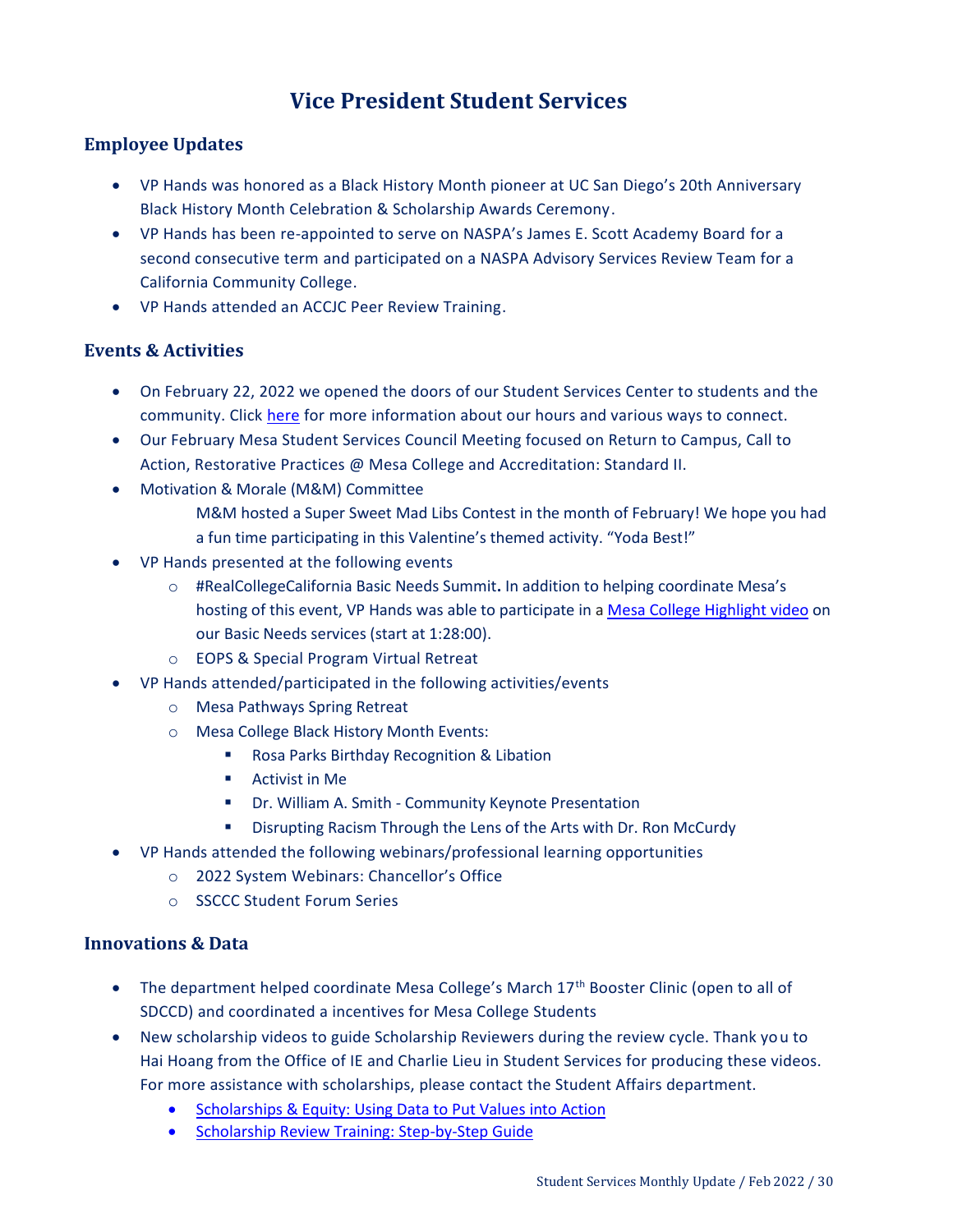# **Vice President Student Services**

### <span id="page-29-0"></span>**Employee Updates**

- VP Hands was honored as a Black History Month pioneer at UC San Diego's 20th Anniversary Black History Month Celebration & Scholarship Awards Ceremony.
- VP Hands has been re-appointed to serve on NASPA's James E. Scott Academy Board for a second consecutive term and participated on a NASPA Advisory Services Review Team for a California Community College.
- VP Hands attended an ACCJC Peer Review Training.

#### **Events & Activities**

- On February 22, 2022 we opened the doors of our Student Services Center to students and the community. Click [here](https://www.sdmesa.edu/student-services/SP22%20Services%20Flyer-2.pdf) for more information about our hours and various ways to connect.
- Our February Mesa Student Services Council Meeting focused on Return to Campus, Call to Action, Restorative Practices @ Mesa College and Accreditation: Standard II.
- Motivation & Morale (M&M) Committee
	- M&M hosted a Super Sweet Mad Libs Contest in the month of February! We hope you had a fun time participating in this Valentine's themed activity. "Yoda Best!"
- VP Hands presented at the following events
	- o #RealCollegeCalifornia Basic Needs Summit**.** In addition to helping coordinate Mesa's hosting of this event, VP Hands was able to participate in [a Mesa College Highlight video](https://us02web.zoom.us/rec/play/RfsoIIR1bxcxlR0pb7UByvI4JN_MWK9lrR63HGld09BrCQzkwcxmHrTLd-8SPtCTOkiToPcWqv73jCfe.ULfMQZYa5azFeuOS?continueMode=true&_x_zm_rtaid=LqPp__74SPWZ1lmTMxwqrQ.1644441173974.10032de380ee5799c1dfa4257ac14336&_x_zm_rhtaid=576) on our Basic Needs services (start at 1:28:00).
	- o EOPS & Special Program Virtual Retreat
- VP Hands attended/participated in the following activities/events
	- o Mesa Pathways Spring Retreat
	- o Mesa College Black History Month Events:
		- **Rosa Parks Birthday Recognition & Libation**
		- Activist in Me
		- Dr. William A. Smith Community Keynote Presentation
		- **E** Disrupting Racism Through the Lens of the Arts with Dr. Ron McCurdy
- VP Hands attended the following webinars/professional learning opportunities
	- o 2022 System Webinars: Chancellor's Office
	- o SSCCC Student Forum Series

#### **Innovations & Data**

- $\bullet$  The department helped coordinate Mesa College's March 17<sup>th</sup> Booster Clinic (open to all of SDCCD) and coordinated a incentives for Mesa College Students
- New scholarship videos to guide Scholarship Reviewers during the review cycle. Thank you to Hai Hoang from the Office of IE and Charlie Lieu in Student Services for producing these videos. For more assistance with scholarships, please contact the Student Affairs department.
	- [Scholarships & Equity: Using Data to Put Values into Action](https://www.youtube.com/watch?v=zPluheK30NU)
	- **[Scholarship Review Training: Step-by-Step Guide](https://www.youtube.com/watch?v=7WIxFhnta6g)**